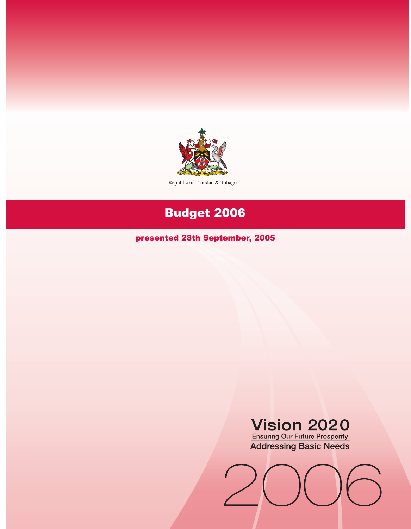

Republic of Trinidad & Tobago

# Budget 2006

presented 28th September, 2005

# **Vision 2020**

Ensuring Our Future Prosperity **Addressing Basic Needs** 

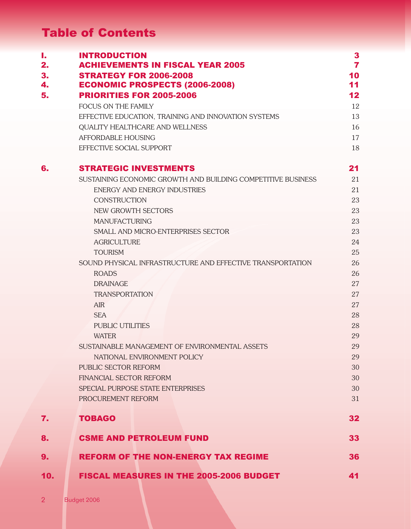# Table of Contents

| ı.<br>2. | <b>INTRODUCTION</b><br><b>ACHIEVEMENTS IN FISCAL YEAR 2005</b>                                 | 3<br>7          |
|----------|------------------------------------------------------------------------------------------------|-----------------|
| 3.       | <b>STRATEGY FOR 2006-2008</b>                                                                  | 10              |
| 4.       | <b>ECONOMIC PROSPECTS (2006-2008)</b>                                                          | 11              |
| 5.       | <b>PRIORITIES FOR 2005-2006</b>                                                                | 12 <sub>2</sub> |
|          | <b>FOCUS ON THE FAMILY</b>                                                                     | 12<br>13        |
|          | EFFECTIVE EDUCATION, TRAINING AND INNOVATION SYSTEMS<br><b>QUALITY HEALTHCARE AND WELLNESS</b> | 16              |
|          | <b>AFFORDABLE HOUSING</b>                                                                      | 17              |
|          | EFFECTIVE SOCIAL SUPPORT                                                                       | 18              |
|          |                                                                                                |                 |
| 6.       | <b>STRATEGIC INVESTMENTS</b>                                                                   | 21              |
|          | SUSTAINING ECONOMIC GROWTH AND BUILDING COMPETITIVE BUSINESS                                   | 21              |
|          | ENERGY AND ENERGY INDUSTRIES                                                                   | 21              |
|          | CONSTRUCTION                                                                                   | 23              |
|          | NEW GROWTH SECTORS                                                                             | 23              |
|          | <b>MANUFACTURING</b>                                                                           | 23              |
|          | SMALL AND MICRO-ENTERPRISES SECTOR                                                             | 23              |
|          | <b>AGRICULTURE</b>                                                                             | 24              |
|          | <b>TOURISM</b>                                                                                 | 25              |
|          | SOUND PHYSICAL INFRASTRUCTURE AND EFFECTIVE TRANSPORTATION                                     | 26              |
|          | <b>ROADS</b>                                                                                   | 26              |
|          | <b>DRAINAGE</b>                                                                                | 27              |
|          | <b>TRANSPORTATION</b>                                                                          | 27              |
|          | <b>AIR</b>                                                                                     | 27              |
|          | <b>SEA</b>                                                                                     | 28              |
|          | <b>PUBLIC UTILITIES</b>                                                                        | 28              |
|          | <b>WATER</b>                                                                                   | 29              |
|          | SUSTAINABLE MANAGEMENT OF ENVIRONMENTAL ASSETS                                                 | 29              |
|          | NATIONAL ENVIRONMENT POLICY                                                                    | 29              |
|          | PUBLIC SECTOR REFORM                                                                           | 30              |
|          | <b>FINANCIAL SECTOR REFORM</b>                                                                 | 30              |
|          | SPECIAL PURPOSE STATE ENTERPRISES                                                              | 30              |
|          | PROCUREMENT REFORM                                                                             | 31              |
| 7.       | <b>TOBAGO</b>                                                                                  | 32              |
| 8.       | <b>CSME AND PETROLEUM FUND</b>                                                                 | 33              |
| 9.       | <b>REFORM OF THE NON-ENERGY TAX REGIME</b>                                                     | 36              |
| 10.      | <b>FISCAL MEASURES IN THE 2005-2006 BUDGET</b>                                                 | 41              |
|          |                                                                                                |                 |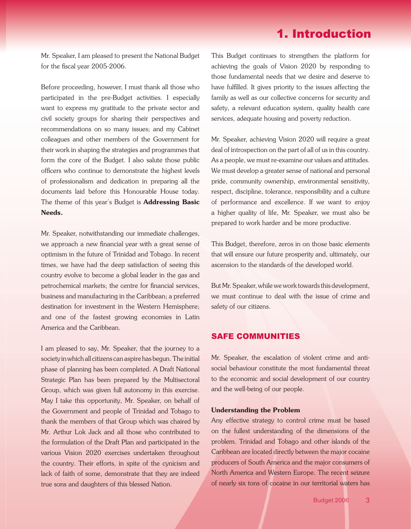## 1. Introduction

Mr. Speaker, I am pleased to present the National Budget for the fiscal year 2005-2006.

Before proceeding, however, I must thank all those who participated in the pre-Budget activities. I especially want to express my gratitude to the private sector and civil society groups for sharing their perspectives and recommendations on so many issues; and my Cabinet colleagues and other members of the Government for their work in shaping the strategies and programmes that form the core of the Budget. I also salute those public officers who continue to demonstrate the highest levels of professionalism and dedication in preparing all the documents laid before this Honourable House today. The theme of this year's Budget is **Addressing Basic Needs.**

Mr. Speaker, notwithstanding our immediate challenges, we approach a new financial year with a great sense of optimism in the future of Trinidad and Tobago. In recent times, we have had the deep satisfaction of seeing this country evolve to become a global leader in the gas and petrochemical markets; the centre for financial services, business and manufacturing in the Caribbean; a preferred destination for investment in the Western Hemisphere; and one of the fastest growing economies in Latin America and the Caribbean.

I am pleased to say, Mr. Speaker, that the journey to a society in which all citizens can aspire has begun. The initial phase of planning has been completed. A Draft National Strategic Plan has been prepared by the Multisectoral Group, which was given full autonomy in this exercise. May I take this opportunity, Mr. Speaker, on behalf of the Government and people of Trinidad and Tobago to thank the members of that Group which was chaired by Mr. Arthur Lok Jack and all those who contributed to the formulation of the Draft Plan and participated in the various Vision 2020 exercises undertaken throughout the country. Their efforts, in spite of the cynicism and lack of faith of some, demonstrate that they are indeed true sons and daughters of this blessed Nation.

This Budget continues to strengthen the platform for achieving the goals of Vision 2020 by responding to those fundamental needs that we desire and deserve to have fulfilled. It gives priority to the issues affecting the family as well as our collective concerns for security and safety, a relevant education system, quality health care services, adequate housing and poverty reduction.

Mr. Speaker, achieving Vision 2020 will require a great deal of introspection on the part of all of us in this country. As a people, we must re-examine our values and attitudes. We must develop a greater sense of national and personal pride, community ownership, environmental sensitivity, respect, discipline, tolerance, responsibility and a culture of performance and excellence. If we want to enjoy a higher quality of life, Mr. Speaker, we must also be prepared to work harder and be more productive.

This Budget, therefore, zeros in on those basic elements that will ensure our future prosperity and, ultimately, our ascension to the standards of the developed world.

But Mr. Speaker, while we work towards this development, we must continue to deal with the issue of crime and safety of our citizens.

## SAFE COMMUNITIES

Mr. Speaker, the escalation of violent crime and antisocial behaviour constitute the most fundamental threat to the economic and social development of our country and the well-being of our people.

#### **Understanding the Problem**

Any effective strategy to control crime must be based on the fullest understanding of the dimensions of the problem. Trinidad and Tobago and other islands of the Caribbean are located directly between the major cocaine producers of South America and the major consumers of North America and Western Europe. The recent seizure of nearly six tons of cocaine in our territorial waters has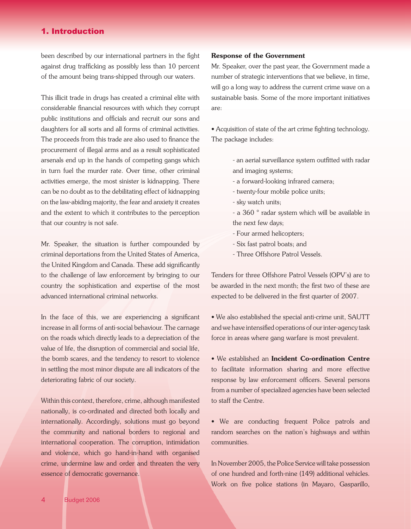## 1. Introduction

been described by our international partners in the fight against drug trafficking as possibly less than 10 percent of the amount being trans-shipped through our waters.

This illicit trade in drugs has created a criminal elite with considerable financial resources with which they corrupt public institutions and officials and recruit our sons and daughters for all sorts and all forms of criminal activities. The proceeds from this trade are also used to finance the procurement of illegal arms and as a result sophisticated arsenals end up in the hands of competing gangs which in turn fuel the murder rate. Over time, other criminal activities emerge, the most sinister is kidnapping. There can be no doubt as to the debilitating effect of kidnapping on the law-abiding majority, the fear and anxiety it creates and the extent to which it contributes to the perception that our country is not safe.

Mr. Speaker, the situation is further compounded by criminal deportations from the United States of America, the United Kingdom and Canada. These add significantly to the challenge of law enforcement by bringing to our country the sophistication and expertise of the most advanced international criminal networks.

In the face of this, we are experiencing a significant increase in all forms of anti-social behaviour. The carnage on the roads which directly leads to a depreciation of the value of life, the disruption of commercial and social life, the bomb scares, and the tendency to resort to violence in settling the most minor dispute are all indicators of the deteriorating fabric of our society.

Within this context, therefore, crime, although manifested nationally, is co-ordinated and directed both locally and internationally. Accordingly, solutions must go beyond the community and national borders to regional and international cooperation. The corruption, intimidation and violence, which go hand-in-hand with organised crime, undermine law and order and threaten the very essence of democratic governance.

#### **Response of the Government**

Mr. Speaker, over the past year, the Government made a number of strategic interventions that we believe, in time, will go a long way to address the current crime wave on a sustainable basis. Some of the more important initiatives are:

• Acquisition of state of the art crime fighting technology. The package includes:

- an aerial surveillance system outfitted with radar and imaging systems;
- a forward-looking infrared camera;
- twenty-four mobile police units;
- sky watch units;
- a 360 ° radar system which will be available in the next few days;
- Four armed helicopters;
- Six fast patrol boats; and
- Three Offshore Patrol Vessels.

Tenders for three Offshore Patrol Vessels (OPV's) are to be awarded in the next month; the first two of these are expected to be delivered in the first quarter of 2007.

• We also established the special anti-crime unit, SAUTT and we have intensified operations of our inter-agency task force in areas where gang warfare is most prevalent.

• We established an **Incident Co-ordination Centre** to facilitate information sharing and more effective response by law enforcement officers. Several persons from a number of specialized agencies have been selected to staff the Centre.

• We are conducting frequent Police patrols and random searches on the nation's highways and within communities.

In November 2005, the Police Service will take possession of one hundred and forth-nine (149) additional vehicles. Work on five police stations (in Mayaro, Gasparillo,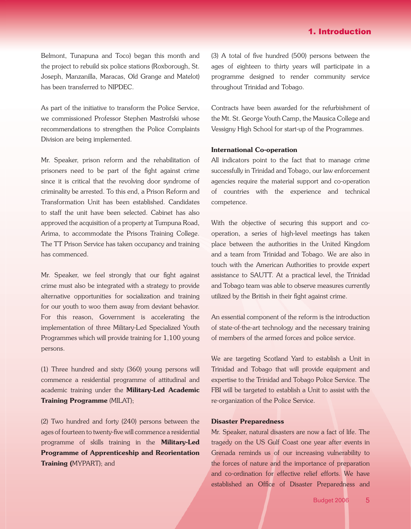Belmont, Tunapuna and Toco) began this month and the project to rebuild six police stations (Roxborough, St. Joseph, Manzanilla, Maracas, Old Grange and Matelot) has been transferred to NIPDEC.

As part of the initiative to transform the Police Service, we commissioned Professor Stephen Mastrofski whose recommendations to strengthen the Police Complaints Division are being implemented.

Mr. Speaker, prison reform and the rehabilitation of prisoners need to be part of the fight against crime since it is critical that the revolving door syndrome of criminality be arrested. To this end, a Prison Reform and Transformation Unit has been established. Candidates to staff the unit have been selected. Cabinet has also approved the acquisition of a property at Tumpuna Road, Arima, to accommodate the Prisons Training College. The TT Prison Service has taken occupancy and training has commenced.

Mr. Speaker, we feel strongly that our fight against crime must also be integrated with a strategy to provide alternative opportunities for socialization and training for our youth to woo them away from deviant behavior. For this reason, Government is accelerating the implementation of three Military-Led Specialized Youth Programmes which will provide training for 1,100 young persons.

(1) Three hundred and sixty (360) young persons will commence a residential programme of attitudinal and academic training under the **Military-Led Academic Training Programme** (MILAT);

(2) Two hundred and forty (240) persons between the ages of fourteen to twenty-five will commence a residential programme of skills training in the **Military-Led Programme of Apprenticeship and Reorientation Training (**MYPART); and

 $(3)$  A total of five hundred  $(500)$  persons between the ages of eighteen to thirty years will participate in a programme designed to render community service throughout Trinidad and Tobago.

Contracts have been awarded for the refurbishment of the Mt. St. George Youth Camp, the Mausica College and Vessigny High School for start-up of the Programmes.

#### **International Co-operation**

All indicators point to the fact that to manage crime successfully in Trinidad and Tobago, our law enforcement agencies require the material support and co-operation of countries with the experience and technical competence.

With the objective of securing this support and cooperation, a series of high-level meetings has taken place between the authorities in the United Kingdom and a team from Trinidad and Tobago. We are also in touch with the American Authorities to provide expert assistance to SAUTT. At a practical level, the Trinidad and Tobago team was able to observe measures currently utilized by the British in their fight against crime.

An essential component of the reform is the introduction of state-of-the-art technology and the necessary training of members of the armed forces and police service.

We are targeting Scotland Yard to establish a Unit in Trinidad and Tobago that will provide equipment and expertise to the Trinidad and Tobago Police Service. The FBI will be targeted to establish a Unit to assist with the re-organization of the Police Service.

#### **Disaster Preparedness**

Mr. Speaker, natural disasters are now a fact of life. The tragedy on the US Gulf Coast one year after events in Grenada reminds us of our increasing vulnerability to the forces of nature and the importance of preparation and co-ordination for effective relief efforts. We have established an Office of Disaster Preparedness and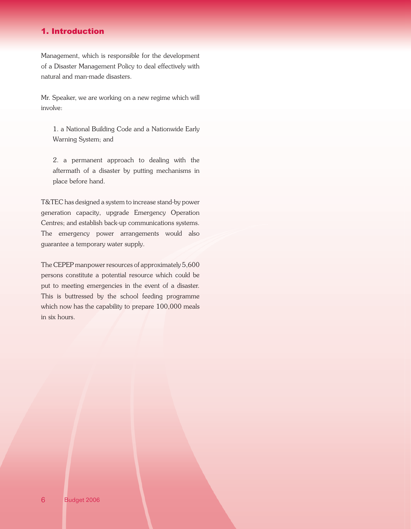## 1. Introduction

Management, which is responsible for the development of a Disaster Management Policy to deal effectively with natural and man-made disasters.

Mr. Speaker, we are working on a new regime which will involve:

1. a National Building Code and a Nationwide Early Warning System; and

2. a permanent approach to dealing with the aftermath of a disaster by putting mechanisms in place before hand.

T&TEC has designed a system to increase stand-by power generation capacity, upgrade Emergency Operation Centres; and establish back-up communications systems. The emergency power arrangements would also guarantee a temporary water supply.

The CEPEP manpower resources of approximately 5,600 persons constitute a potential resource which could be put to meeting emergencies in the event of a disaster. This is buttressed by the school feeding programme which now has the capability to prepare 100,000 meals in six hours.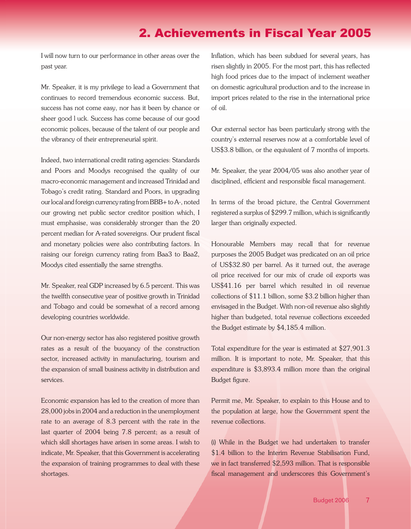# 2. Achievements in Fiscal Year 2005

I will now turn to our performance in other areas over the past year.

Mr. Speaker, it is my privilege to lead a Government that continues to record tremendous economic success. But, success has not come easy, nor has it been by chance or sheer good l uck. Success has come because of our good economic polices, because of the talent of our people and the vibrancy of their entrepreneurial spirit.

Indeed, two international credit rating agencies: Standards and Poors and Moodys recognised the quality of our macro-economic management and increased Trinidad and Tobago's credit rating. Standard and Poors, in upgrading our local and foreign currency rating from BBB+ to A-, noted our growing net public sector creditor position which, I must emphasise, was considerably stronger than the 20 percent median for A-rated sovereigns. Our prudent fiscal and monetary policies were also contributing factors. In raising our foreign currency rating from Baa3 to Baa2, Moodys cited essentially the same strengths.

Mr. Speaker, real GDP increased by 6.5 percent. This was the twelfth consecutive year of positive growth in Trinidad and Tobago and could be somewhat of a record among developing countries worldwide.

Our non-energy sector has also registered positive growth rates as a result of the buoyancy of the construction sector, increased activity in manufacturing, tourism and the expansion of small business activity in distribution and services.

Economic expansion has led to the creation of more than 28,000 jobs in 2004 and a reduction in the unemployment rate to an average of 8.3 percent with the rate in the last quarter of 2004 being 7.8 percent; as a result of which skill shortages have arisen in some areas. I wish to indicate, Mr. Speaker, that this Government is accelerating the expansion of training programmes to deal with these shortages.

Inflation, which has been subdued for several years, has risen slightly in 2005. For the most part, this has reflected high food prices due to the impact of inclement weather on domestic agricultural production and to the increase in import prices related to the rise in the international price of oil.

Our external sector has been particularly strong with the country's external reserves now at a comfortable level of US\$3.8 billion, or the equivalent of 7 months of imports.

Mr. Speaker, the year 2004/05 was also another year of disciplined, efficient and responsible fiscal management.

In terms of the broad picture, the Central Government registered a surplus of \$299.7 million, which is significantly larger than originally expected.

Honourable Members may recall that for revenue purposes the 2005 Budget was predicated on an oil price of US\$32.80 per barrel. As it turned out, the average oil price received for our mix of crude oil exports was US\$41.16 per barrel which resulted in oil revenue collections of \$11.1 billion, some \$3.2 billion higher than envisaged in the Budget. With non-oil revenue also slightly higher than budgeted, total revenue collections exceeded the Budget estimate by \$4,185.4 million.

Total expenditure for the year is estimated at \$27,901.3 million. It is important to note, Mr. Speaker, that this expenditure is \$3,893.4 million more than the original Budget figure.

Permit me, Mr. Speaker, to explain to this House and to the population at large, how the Government spent the revenue collections.

(i) While in the Budget we had undertaken to transfer \$1.4 billion to the Interim Revenue Stabilisation Fund, we in fact transferred \$2,593 million. That is responsible fiscal management and underscores this Government's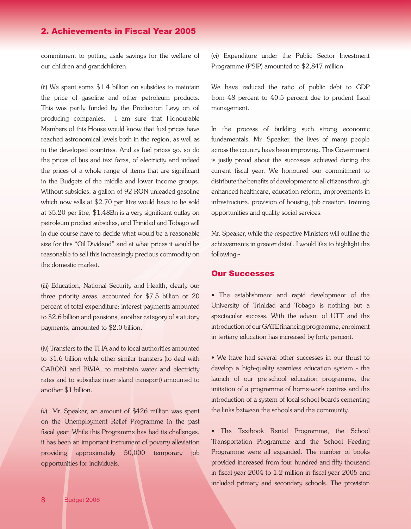## 2. Achievements in Fiscal Year 2005

commitment to putting aside savings for the welfare of our children and grandchildren.

(ii) We spent some \$1.4 billion on subsidies to maintain the price of gasoline and other petroleum products. This was partly funded by the Production Levy on oil producing companies. I am sure that Honourable Members of this House would know that fuel prices have reached astronomical levels both in the region, as well as in the developed countries. And as fuel prices go, so do the prices of bus and taxi fares, of electricity and indeed the prices of a whole range of items that are significant in the Budgets of the middle and lower income groups. Without subsidies, a gallon of 92 RON unleaded gasoline which now sells at \$2.70 per litre would have to be sold at  $$5.20$  per litre,  $$1.48Br$  is a very significant outlay on petroleum product subsidies, and Trinidad and Tobago will in due course have to decide what would be a reasonable size for this "Oil Dividend" and at what prices it would be reasonable to sell this increasingly precious commodity on the domestic market.

(iii) Education, National Security and Health, clearly our three priority areas, accounted for \$7.5 billion or 20 percent of total expenditure: interest payments amounted to \$2.6 billion and pensions, another category of statutory payments, amounted to \$2.0 billion.

(iv) Transfers to the THA and to local authorities amounted to \$1.6 billion while other similar transfers (to deal with CARONI and BWIA, to maintain water and electricity rates and to subsidize inter-island transport) amounted to another \$1 billion.

(v) Mr. Speaker, an amount of \$426 million was spent on the Unemployment Relief Programme in the past fiscal year. While this Programme has had its challenges, it has been an important instrument of poverty alleviation providing approximately 50,000 temporary job opportunities for individuals.

(vi) Expenditure under the Public Sector Investment Programme (PSIP) amounted to \$2,847 million.

We have reduced the ratio of public debt to GDP from 48 percent to 40.5 percent due to prudent fiscal management.

In the process of building such strong economic fundamentals, Mr. Speaker, the lives of many people across the country have been improving. This Government is justly proud about the successes achieved during the current fiscal year. We honoured our commitment to distribute the benefits of development to all citizens through enhanced healthcare, education reform, improvements in infrastructure, provision of housing, job creation, training opportunities and quality social services.

Mr. Speaker, while the respective Ministers will outline the achievements in greater detail, I would like to highlight the following:-

#### Our Successes

• The establishment and rapid development of the University of Trinidad and Tobago is nothing but a spectacular success. With the advent of UTT and the introduction of our GATE financing programme, enrolment in tertiary education has increased by forty percent.

• We have had several other successes in our thrust to develop a high-quality seamless education system - the launch of our pre-school education programme, the initiation of a programme of home-work centres and the introduction of a system of local school boards cementing the links between the schools and the community.

• The Textbook Rental Programme, the School Transportation Programme and the School Feeding Programme were all expanded. The number of books provided increased from four hundred and fifty thousand in fiscal year 2004 to 1.2 million in fiscal year 2005 and included primary and secondary schools. The provision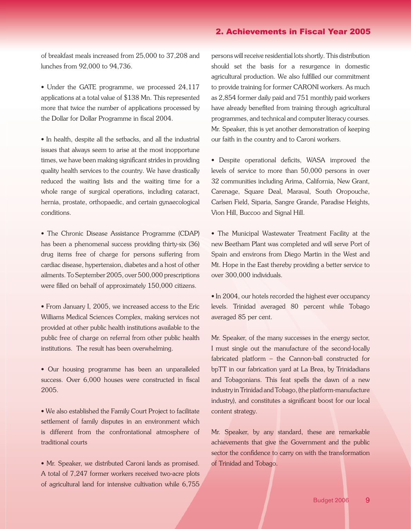#### 2. Achievements in Fiscal Year 2005

of breakfast meals increased from 25,000 to 37,208 and lunches from 92,000 to 94,736.

• Under the GATE programme, we processed 24,117 applications at a total value of \$138 Mn. This represented more that twice the number of applications processed by the Dollar for Dollar Programme in fiscal 2004.

• In health, despite all the setbacks, and all the industrial issues that always seem to arise at the most inopportune times, we have been making significant strides in providing quality health services to the country. We have drastically reduced the waiting lists and the waiting time for a whole range of surgical operations, including cataract, hernia, prostate, orthopaedic, and certain gynaecological conditions.

• The Chronic Disease Assistance Programme (CDAP) has been a phenomenal success providing thirty-six (36) drug items free of charge for persons suffering from cardiac disease, hypertension, diabetes and a host of other ailments. To September 2005, over 500,000 prescriptions were filled on behalf of approximately 150,000 citizens.

• From January I, 2005, we increased access to the Eric Williams Medical Sciences Complex, making services not provided at other public health institutions available to the public free of charge on referral from other public health institutions. The result has been overwhelming.

• Our housing programme has been an unparalleled success. Over 6,000 houses were constructed in fiscal 2005.

• We also established the Family Court Project to facilitate settlement of family disputes in an environment which is different from the confrontational atmosphere of traditional courts

• Mr. Speaker, we distributed Caroni lands as promised. A total of 7,247 former workers received two-acre plots of agricultural land for intensive cultivation while 6,755

persons will receive residential lots shortly. This distribution should set the basis for a resurgence in domestic agricultural production. We also fulfilled our commitment to provide training for former CARONI workers. As much as 2,854 former daily paid and 751 monthly paid workers have already benefited from training through agricultural programmes, and technical and computer literacy courses. Mr. Speaker, this is yet another demonstration of keeping our faith in the country and to Caroni workers.

• Despite operational deficits, WASA improved the levels of service to more than 50,000 persons in over 32 communities including Arima, California, New Grant, Carenage, Square Deal, Maraval, South Oropouche, Carlsen Field, Siparia, Sangre Grande, Paradise Heights, Vion Hill, Buccoo and Signal Hill.

• The Municipal Wastewater Treatment Facility at the new Beetham Plant was completed and will serve Port of Spain and environs from Diego Martin in the West and Mt. Hope in the East thereby providing a better service to over 300,000 individuals.

• In 2004, our hotels recorded the highest ever occupancy levels. Trinidad averaged 80 percent while Tobago averaged 85 per cent.

Mr. Speaker, of the many successes in the energy sector, I must single out the manufacture of the second-locally fabricated platform – the Cannon-ball constructed for bpTT in our fabrication yard at La Brea, by Trinidadians and Tobagonians. This feat spells the dawn of a new industry in Trinidad and Tobago, (the platform-manufacture industry), and constitutes a significant boost for our local content strategy.

Mr. Speaker, by any standard, these are remarkable achievements that give the Government and the public sector the confidence to carry on with the transformation of Trinidad and Tobago.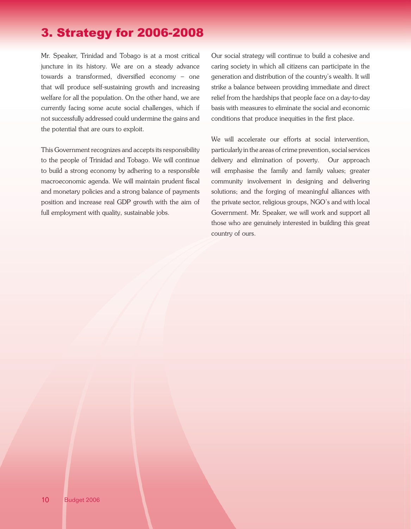# 3. Strategy for 2006-2008

Mr. Speaker, Trinidad and Tobago is at a most critical juncture in its history. We are on a steady advance towards a transformed, diversified economy  $-$  one that will produce self-sustaining growth and increasing welfare for all the population. On the other hand, we are currently facing some acute social challenges, which if not successfully addressed could undermine the gains and the potential that are ours to exploit.

This Government recognizes and accepts its responsibility to the people of Trinidad and Tobago. We will continue to build a strong economy by adhering to a responsible macroeconomic agenda. We will maintain prudent fiscal and monetary policies and a strong balance of payments position and increase real GDP growth with the aim of full employment with quality, sustainable jobs.

Our social strategy will continue to build a cohesive and caring society in which all citizens can participate in the generation and distribution of the country's wealth. It will strike a balance between providing immediate and direct relief from the hardships that people face on a day-to-day basis with measures to eliminate the social and economic conditions that produce inequities in the first place.

We will accelerate our efforts at social intervention, particularly in the areas of crime prevention, social services delivery and elimination of poverty. Our approach will emphasise the family and family values; greater community involvement in designing and delivering solutions; and the forging of meaningful alliances with the private sector, religious groups, NGO's and with local Government. Mr. Speaker, we will work and support all those who are genuinely interested in building this great country of ours.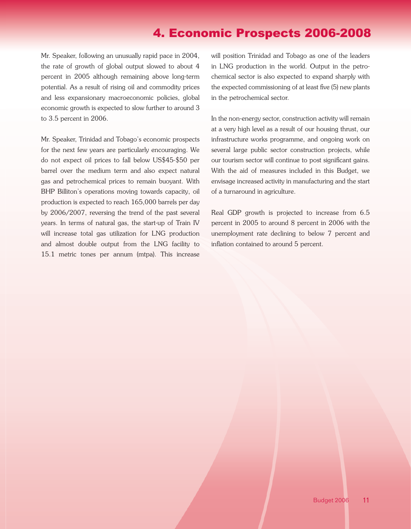# 4. Economic Prospects 2006-2008

Mr. Speaker, following an unusually rapid pace in 2004, the rate of growth of global output slowed to about 4 percent in 2005 although remaining above long-term potential. As a result of rising oil and commodity prices and less expansionary macroeconomic policies, global economic growth is expected to slow further to around 3 to 3.5 percent in 2006.

Mr. Speaker, Trinidad and Tobago's economic prospects for the next few years are particularly encouraging. We do not expect oil prices to fall below US\$45-\$50 per barrel over the medium term and also expect natural gas and petrochemical prices to remain buoyant. With BHP Billiton's operations moving towards capacity, oil production is expected to reach 165,000 barrels per day by 2006/2007, reversing the trend of the past several years. In terms of natural gas, the start-up of Train IV will increase total gas utilization for LNG production and almost double output from the LNG facility to 15.1 metric tones per annum (mtpa). This increase

will position Trinidad and Tobago as one of the leaders in LNG production in the world. Output in the petrochemical sector is also expected to expand sharply with the expected commissioning of at least five (5) new plants in the petrochemical sector.

In the non-energy sector, construction activity will remain at a very high level as a result of our housing thrust, our infrastructure works programme, and ongoing work on several large public sector construction projects, while our tourism sector will continue to post significant gains. With the aid of measures included in this Budget, we envisage increased activity in manufacturing and the start of a turnaround in agriculture.

Real GDP growth is projected to increase from 6.5 percent in 2005 to around 8 percent in 2006 with the unemployment rate declining to below 7 percent and inflation contained to around 5 percent.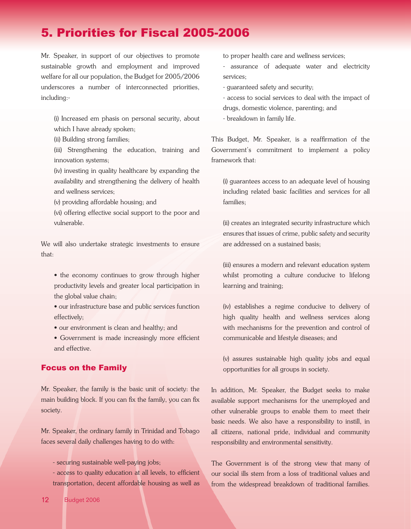Mr. Speaker, in support of our objectives to promote sustainable growth and employment and improved welfare for all our population, the Budget for 2005/2006 underscores a number of interconnected priorities, including:-

(i) Increased em phasis on personal security, about which I have already spoken;

(ii) Building strong families;

(iii) Strengthening the education, training and innovation systems;

(iv) investing in quality healthcare by expanding the availability and strengthening the delivery of health and wellness services;

- (v) providing affordable housing; and
- (vi) offering effective social support to the poor and vulnerable.

We will also undertake strategic investments to ensure that:

- the economy continues to grow through higher productivity levels and greater local participation in the global value chain;
- our infrastructure base and public services function effectively;
- our environment is clean and healthy; and
- Government is made increasingly more efficient and effective.

## Focus on the Family

Mr. Speaker, the family is the basic unit of society: the main building block. If you can fix the family, you can fix society.

Mr. Speaker, the ordinary family in Trinidad and Tobago faces several daily challenges having to do with:

- securing sustainable well-paying jobs;

- access to quality education at all levels, to efficient transportation, decent affordable housing as well as

to proper health care and wellness services;

- assurance of adequate water and electricity services;

- guaranteed safety and security;

- access to social services to deal with the impact of
- drugs, domestic violence, parenting; and
- breakdown in family life.

This Budget, Mr. Speaker, is a reaffirmation of the Government's commitment to implement a policy framework that:

(i) guarantees access to an adequate level of housing including related basic facilities and services for all families;

(ii) creates an integrated security infrastructure which ensures that issues of crime, public safety and security are addressed on a sustained basis;

(iii) ensures a modern and relevant education system whilst promoting a culture conducive to lifelong learning and training;

(iv) establishes a regime conducive to delivery of high quality health and wellness services along with mechanisms for the prevention and control of communicable and lifestyle diseases; and

(v) assures sustainable high quality jobs and equal opportunities for all groups in society.

In addition, Mr. Speaker, the Budget seeks to make available support mechanisms for the unemployed and other vulnerable groups to enable them to meet their basic needs. We also have a responsibility to instill, in all citizens, national pride, individual and community responsibility and environmental sensitivity.

The Government is of the strong view that many of our social ills stem from a loss of traditional values and from the widespread breakdown of traditional families.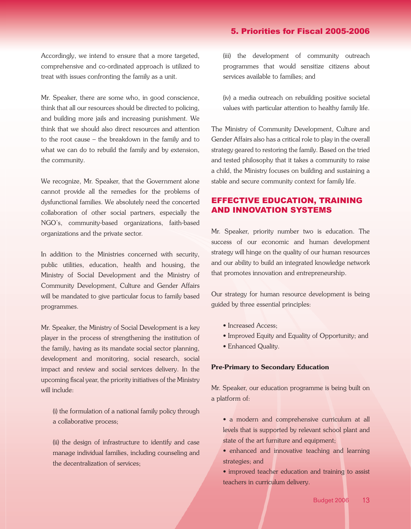Accordingly, we intend to ensure that a more targeted, comprehensive and co-ordinated approach is utilized to treat with issues confronting the family as a unit.

Mr. Speaker, there are some who, in good conscience, think that all our resources should be directed to policing, and building more jails and increasing punishment. We think that we should also direct resources and attention to the root cause – the breakdown in the family and to what we can do to rebuild the family and by extension, the community.

We recognize, Mr. Speaker, that the Government alone cannot provide all the remedies for the problems of dysfunctional families. We absolutely need the concerted collaboration of other social partners, especially the NGO's, community-based organizations, faith-based organizations and the private sector.

In addition to the Ministries concerned with security, public utilities, education, health and housing, the Ministry of Social Development and the Ministry of Community Development, Culture and Gender Affairs will be mandated to give particular focus to family based programmes.

Mr. Speaker, the Ministry of Social Development is a key player in the process of strengthening the institution of the family, having as its mandate social sector planning, development and monitoring, social research, social impact and review and social services delivery. In the upcoming fiscal year, the priority initiatives of the Ministry will include:

(i) the formulation of a national family policy through a collaborative process;

(ii) the design of infrastructure to identify and case manage individual families, including counseling and the decentralization of services;

(iii) the development of community outreach programmes that would sensitize citizens about services available to families; and

(iv) a media outreach on rebuilding positive societal values with particular attention to healthy family life.

The Ministry of Community Development, Culture and Gender Affairs also has a critical role to play in the overall strategy geared to restoring the family. Based on the tried and tested philosophy that it takes a community to raise a child, the Ministry focuses on building and sustaining a stable and secure community context for family life.

## EFFECTIVE EDUCATION, TRAINING AND INNOVATION SYSTEMS

Mr. Speaker, priority number two is education. The success of our economic and human development strategy will hinge on the quality of our human resources and our ability to build an integrated knowledge network that promotes innovation and entrepreneurship.

Our strategy for human resource development is being guided by three essential principles:

- Increased Access;
- Improved Equity and Equality of Opportunity; and
- Enhanced Quality.

#### **Pre-Primary to Secondary Education**

Mr. Speaker, our education programme is being built on a platform of:

- a modern and comprehensive curriculum at all levels that is supported by relevant school plant and state of the art furniture and equipment;
- enhanced and innovative teaching and learning strategies; and
- improved teacher education and training to assist teachers in curriculum delivery.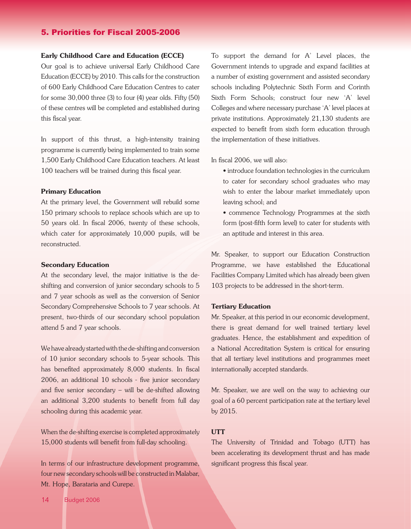#### **Early Childhood Care and Education (ECCE)**

Our goal is to achieve universal Early Childhood Care Education (ECCE) by 2010. This calls for the construction of 600 Early Childhood Care Education Centres to cater for some 30,000 three (3) to four (4) year olds. Fifty (50) of these centres will be completed and established during this fiscal year.

In support of this thrust, a high-intensity training programme is currently being implemented to train some 1,500 Early Childhood Care Education teachers. At least 100 teachers will be trained during this fiscal year.

#### **Primary Education**

At the primary level, the Government will rebuild some 150 primary schools to replace schools which are up to 50 years old. In fiscal 2006, twenty of these schools, which cater for approximately 10,000 pupils, will be reconstructed.

#### **Secondary Education**

At the secondary level, the major initiative is the deshifting and conversion of junior secondary schools to 5 and 7 year schools as well as the conversion of Senior Secondary Comprehensive Schools to 7 year schools. At present, two-thirds of our secondary school population attend 5 and 7 year schools.

We have already started with the de-shifting and conversion of 10 junior secondary schools to 5-year schools. This has benefited approximately 8,000 students. In fiscal 2006, an additional 10 schools - five junior secondary and five senior secondary – will be de-shifted allowing an additional 3,200 students to benefit from full day schooling during this academic year.

When the de-shifting exercise is completed approximately 15,000 students will benefit from full-day schooling.

In terms of our infrastructure development programme, four new secondary schools will be constructed in Malabar, Mt. Hope, Barataria and Curepe.

To support the demand for A' Level places, the Government intends to upgrade and expand facilities at a number of existing government and assisted secondary schools including Polytechnic Sixth Form and Corinth Sixth Form Schools; construct four new 'A' level Colleges and where necessary purchase 'A' level places at private institutions. Approximately 21,130 students are expected to benefit from sixth form education through the implementation of these initiatives.

In fiscal 2006, we will also:

- introduce foundation technologies in the curriculum to cater for secondary school graduates who may wish to enter the labour market immediately upon leaving school; and
- commence Technology Programmes at the sixth form (post-fifth form level) to cater for students with an aptitude and interest in this area.

Mr. Speaker, to support our Education Construction Programme, we have established the Educational Facilities Company Limited which has already been given 103 projects to be addressed in the short-term.

#### **Tertiary Education**

Mr. Speaker, at this period in our economic development, there is great demand for well trained tertiary level graduates. Hence, the establishment and expedition of a National Accreditation System is critical for ensuring that all tertiary level institutions and programmes meet internationally accepted standards.

Mr. Speaker, we are well on the way to achieving our goal of a 60 percent participation rate at the tertiary level by 2015.

#### **UTT**

The University of Trinidad and Tobago (UTT) has been accelerating its development thrust and has made significant progress this fiscal year.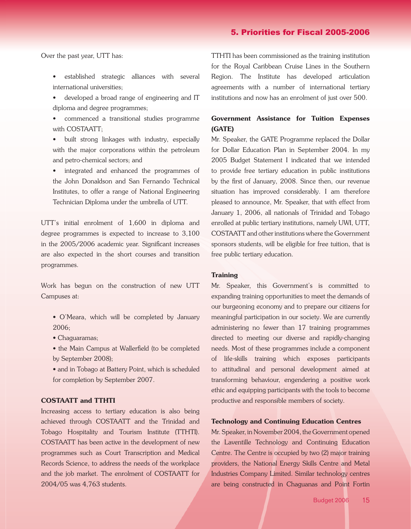Over the past year, UTT has:

- established strategic alliances with several international universities;
- developed a broad range of engineering and IT diploma and degree programmes;
- commenced a transitional studies programme with COSTAATT;
- built strong linkages with industry, especially with the major corporations within the petroleum and petro-chemical sectors; and
- integrated and enhanced the programmes of the John Donaldson and San Fernando Technical Institutes, to offer a range of National Engineering Technician Diploma under the umbrella of UTT.

UTT's initial enrolment of 1,600 in diploma and degree programmes is expected to increase to 3,100 in the 2005/2006 academic year. Significant increases are also expected in the short courses and transition programmes.

Work has begun on the construction of new UTT Campuses at:

- O'Meara, which will be completed by January 2006;
- Chaguaramas;
- the Main Campus at Wallerfield (to be completed by September 2008);
- and in Tobago at Battery Point, which is scheduled for completion by September 2007.

#### **COSTAATT and TTHTI**

Increasing access to tertiary education is also being achieved through COSTAATT and the Trinidad and Tobago Hospitality and Tourism Institute (TTHTI). COSTAATT has been active in the development of new programmes such as Court Transcription and Medical Records Science, to address the needs of the workplace and the job market. The enrolment of COSTAATT for 2004/05 was 4,763 students.

TTHTI has been commissioned as the training institution for the Royal Caribbean Cruise Lines in the Southern Region. The Institute has developed articulation agreements with a number of international tertiary institutions and now has an enrolment of just over 500.

## **Government Assistance for Tuition Expenses (GATE)**

Mr. Speaker, the GATE Programme replaced the Dollar for Dollar Education Plan in September 2004. In my 2005 Budget Statement I indicated that we intended to provide free tertiary education in public institutions by the first of January, 2008. Since then, our revenue situation has improved considerably. I am therefore pleased to announce, Mr. Speaker, that with effect from January 1, 2006, all nationals of Trinidad and Tobago enrolled at public tertiary institutions, namely UWI, UTT, COSTAATT and other institutions where the Government sponsors students, will be eligible for free tuition, that is free public tertiary education.

#### **Training**

Mr. Speaker, this Government's is committed to expanding training opportunities to meet the demands of our burgeoning economy and to prepare our citizens for meaningful participation in our society. We are currently administering no fewer than 17 training programmes directed to meeting our diverse and rapidly-changing needs. Most of these programmes include a component of life-skills training which exposes participants to attitudinal and personal development aimed at transforming behaviour, engendering a positive work ethic and equipping participants with the tools to become productive and responsible members of society.

#### **Technology and Continuing Education Centres**

Mr. Speaker, in November 2004, the Government opened the Laventille Technology and Continuing Education Centre. The Centre is occupied by two (2) major training providers, the National Energy Skills Centre and Metal Industries Company Limited. Similar technology centres are being constructed in Chaguanas and Point Fortin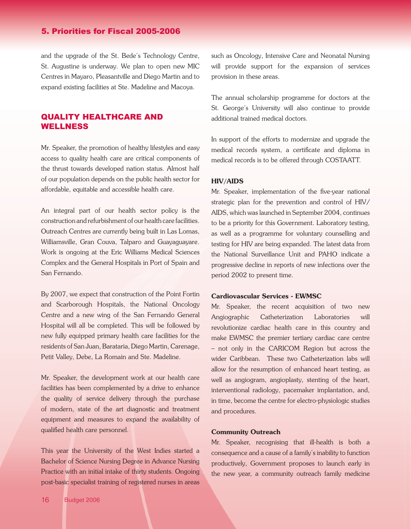and the upgrade of the St. Bede's Technology Centre, St. Augustine is underway. We plan to open new MIC Centres in Mayaro, Pleasantville and Diego Martin and to expand existing facilities at Ste. Madeline and Macoya.

## QUALITY HEALTHCARE AND WELLNESS

Mr. Speaker, the promotion of healthy lifestyles and easy access to quality health care are critical components of the thrust towards developed nation status. Almost half of our population depends on the public health sector for affordable, equitable and accessible health care.

An integral part of our health sector policy is the construction and refurbishment of our health care facilities. Outreach Centres are currently being built in Las Lomas, Williamsville, Gran Couva, Talparo and Guayaguayare. Work is ongoing at the Eric Williams Medical Sciences Complex and the General Hospitals in Port of Spain and San Fernando.

By 2007, we expect that construction of the Point Fortin and Scarborough Hospitals, the National Oncology Centre and a new wing of the San Fernando General Hospital will all be completed. This will be followed by new fully equipped primary health care facilities for the residents of San Juan, Barataria, Diego Martin, Carenage, Petit Valley, Debe, La Romain and Ste. Madeline.

Mr. Speaker, the development work at our health care facilities has been complemented by a drive to enhance the quality of service delivery through the purchase of modern, state of the art diagnostic and treatment equipment and measures to expand the availability of qualified health care personnel.

This year the University of the West Indies started a Bachelor of Science Nursing Degree in Advance Nursing Practice with an initial intake of thirty students. Ongoing post-basic specialist training of registered nurses in areas such as Oncology, Intensive Care and Neonatal Nursing will provide support for the expansion of services provision in these areas.

The annual scholarship programme for doctors at the St. George's University will also continue to provide additional trained medical doctors.

In support of the efforts to modernize and upgrade the medical records system, a certificate and diploma in medical records is to be offered through COSTAATT.

#### **HIV/AIDS**

Mr. Speaker, implementation of the five-year national strategic plan for the prevention and control of HIV/ AIDS, which was launched in September 2004, continues to be a priority for this Government. Laboratory testing, as well as a programme for voluntary counselling and testing for HIV are being expanded. The latest data from the National Surveillance Unit and PAHO indicate a progressive decline in reports of new infections over the period 2002 to present time.

#### **Cardiovascular Services - EWMSC**

Mr. Speaker, the recent acquisition of two new Angiographic Catheterization Laboratories will revolutionize cardiac health care in this country and make EWMSC the premier tertiary cardiac care centre – not only in the CARICOM Region but across the wider Caribbean. These two Catheterization labs will allow for the resumption of enhanced heart testing, as well as angiogram, angioplasty, stenting of the heart, interventional radiology, pacemaker implantation, and, in time, become the centre for electro-physiologic studies and procedures.

#### **Community Outreach**

Mr. Speaker, recognising that ill-health is both a consequence and a cause of a family's inability to function productively, Government proposes to launch early in the new year, a community outreach family medicine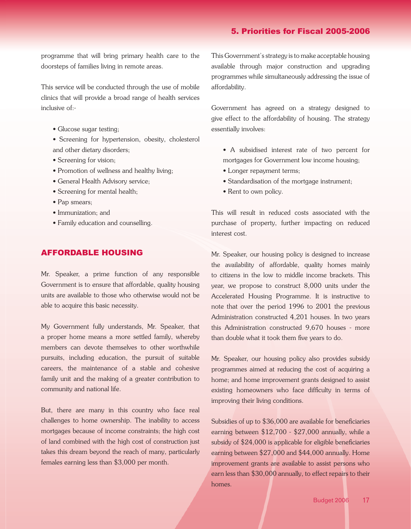programme that will bring primary health care to the doorsteps of families living in remote areas.

This service will be conducted through the use of mobile clinics that will provide a broad range of health services inclusive of:-

- Glucose sugar testing;
- Screening for hypertension, obesity, cholesterol and other dietary disorders;
- Screening for vision;
- Promotion of wellness and healthy living;
- General Health Advisory service;
- Screening for mental health;
- Pap smears;
- Immunization; and
- Family education and counselling.

#### AFFORDABLE HOUSING

Mr. Speaker, a prime function of any responsible Government is to ensure that affordable, quality housing units are available to those who otherwise would not be able to acquire this basic necessity.

My Government fully understands, Mr. Speaker, that a proper home means a more settled family, whereby members can devote themselves to other worthwhile pursuits, including education, the pursuit of suitable careers, the maintenance of a stable and cohesive family unit and the making of a greater contribution to community and national life.

But, there are many in this country who face real challenges to home ownership. The inability to access mortgages because of income constraints; the high cost of land combined with the high cost of construction just takes this dream beyond the reach of many, particularly females earning less than \$3,000 per month.

This Government's strategy is to make acceptable housing available through major construction and upgrading programmes while simultaneously addressing the issue of affordability.

Government has agreed on a strategy designed to give effect to the affordability of housing. The strategy essentially involves:

- A subsidised interest rate of two percent for mortgages for Government low income housing;
- Longer repayment terms;
- Standardisation of the mortgage instrument;
- Rent to own policy.

This will result in reduced costs associated with the purchase of property, further impacting on reduced interest cost.

Mr. Speaker, our housing policy is designed to increase the availability of affordable, quality homes mainly to citizens in the low to middle income brackets. This year, we propose to construct 8,000 units under the Accelerated Housing Programme. It is instructive to note that over the period 1996 to 2001 the previous Administration constructed 4,201 houses. In two years this Administration constructed 9,670 houses - more than double what it took them five years to do.

Mr. Speaker, our housing policy also provides subsidy programmes aimed at reducing the cost of acquiring a home; and home improvement grants designed to assist existing homeowners who face difficulty in terms of improving their living conditions.

Subsidies of up to \$36,000 are available for beneficiaries earning between \$12,700 - \$27,000 annually, while a subsidy of  $$24,000$  is applicable for eligible beneficiaries earning between \$27,000 and \$44,000 annually. Home improvement grants are available to assist persons who earn less than \$30,000 annually, to effect repairs to their homes.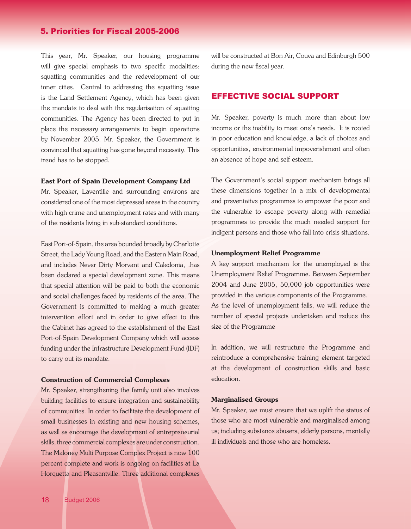This year, Mr. Speaker, our housing programme will give special emphasis to two specific modalities: squatting communities and the redevelopment of our inner cities. Central to addressing the squatting issue is the Land Settlement Agency, which has been given the mandate to deal with the regularisation of squatting communities. The Agency has been directed to put in place the necessary arrangements to begin operations by November 2005. Mr. Speaker, the Government is convinced that squatting has gone beyond necessity. This trend has to be stopped.

#### **East Port of Spain Development Company Ltd**

Mr. Speaker, Laventille and surrounding environs are considered one of the most depressed areas in the country with high crime and unemployment rates and with many of the residents living in sub-standard conditions.

East Port-of-Spain, the area bounded broadly by Charlotte Street, the Lady Young Road, and the Eastern Main Road, and includes Never Dirty Morvant and Caledonia, .has been declared a special development zone. This means that special attention will be paid to both the economic and social challenges faced by residents of the area. The Government is committed to making a much greater intervention effort and in order to give effect to this the Cabinet has agreed to the establishment of the East Port-of-Spain Development Company which will access funding under the Infrastructure Development Fund (IDF) to carry out its mandate.

#### **Construction of Commercial Complexes**

Mr. Speaker, strengthening the family unit also involves building facilities to ensure integration and sustainability of communities. In order to facilitate the development of small businesses in existing and new housing schemes, as well as encourage the development of entrepreneurial skills, three commercial complexes are under construction. The Maloney Multi Purpose Complex Project is now 100 percent complete and work is ongoing on facilities at La Horquetta and Pleasantville. Three additional complexes

will be constructed at Bon Air, Couva and Edinburgh 500 during the new fiscal year.

#### EFFECTIVE SOCIAL SUPPORT

Mr. Speaker, poverty is much more than about low income or the inability to meet one's needs. It is rooted in poor education and knowledge, a lack of choices and opportunities, environmental impoverishment and often an absence of hope and self esteem.

The Government's social support mechanism brings all these dimensions together in a mix of developmental and preventative programmes to empower the poor and the vulnerable to escape poverty along with remedial programmes to provide the much needed support for indigent persons and those who fall into crisis situations.

#### **Unemployment Relief Programme**

A key support mechanism for the unemployed is the Unemployment Relief Programme. Between September 2004 and June 2005, 50,000 job opportunities were provided in the various components of the Programme. As the level of unemployment falls, we will reduce the number of special projects undertaken and reduce the size of the Programme

In addition, we will restructure the Programme and reintroduce a comprehensive training element targeted at the development of construction skills and basic education.

#### **Marginalised Groups**

Mr. Speaker, we must ensure that we uplift the status of those who are most vulnerable and marginalised among us; including substance abusers, elderly persons, mentally ill individuals and those who are homeless.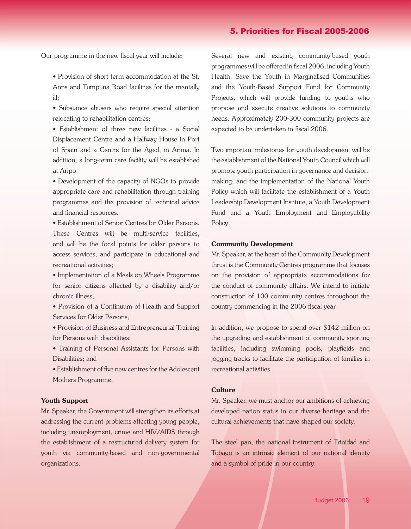Our programme in the new fiscal year will include:

• Provision of short term accommodation at the St. Anns and Tumpuna Road facilities for the mentally ill;

• Substance abusers who require special attention relocating to rehabilitation centres;

• Establishment of three new facilities - a Social Displacement Centre and a Halfway House in Port of Spain and a Centre for the Aged, in Arima. In addition, a long-term care facility will be established at Aripo.

• Development of the capacity of NGOs to provide appropriate care and rehabilitation through training programmes and the provision of technical advice and financial resources.

• Establishment of Senior Centres for Older Persons. These Centres will be multi-service facilities, and will be the focal points for older persons to access services, and participate in educational and recreational activities;

• Implementation of a Meals on Wheels Programme for senior citizens affected by a disability and/or chronic illness;

- Provision of a Continuum of Health and Support Services for Older Persons;
- Provision of Business and Entrepreneurial Training for Persons with disabilities;
- Training of Personal Assistants for Persons with Disabilities; and
- Establishment of five new centres for the Adolescent Mothers Programme.

#### **Youth Support**

Mr. Speaker, the Government will strengthen its efforts at addressing the current problems affecting young people, including unemployment, crime and HIV/AIDS through the establishment of a restructured delivery system for youth via community-based and non-governmental organizations.

Several new and existing community-based youth programmes will be offered in fiscal 2006, including Youth Health, Save the Youth in Marginalised Communities and the Youth-Based Support Fund for Community Projects, which will provide funding to youths who propose and execute creative solutions to community needs. Approximately 200-300 community projects are expected to be undertaken in fiscal 2006.

Two important milestones for youth development will be the establishment of the National Youth Council which will promote youth participation in governance and decisionmaking; and the implementation of the National Youth Policy which will facilitate the establishment of a Youth Leadership Development Institute, a Youth Development Fund and a Youth Employment and Employability Policy.

#### **Community Development**

Mr. Speaker, at the heart of the Community Development thrust is the Community Centres programme that focuses on the provision of appropriate accommodations for the conduct of community affairs. We intend to initiate construction of 100 community centres throughout the country commencing in the 2006 fiscal year.

In addition, we propose to spend over \$142 million on the upgrading and establishment of community sporting facilities, including swimming pools, playfields and jogging tracks to facilitate the participation of families in recreational activities.

#### **Culture**

Mr. Speaker, we must anchor our ambitions of achieving developed nation status in our diverse heritage and the cultural achievements that have shaped our society.

The steel pan, the national instrument of Trinidad and Tobago is an intrinsic element of our national identity and a symbol of pride in our country.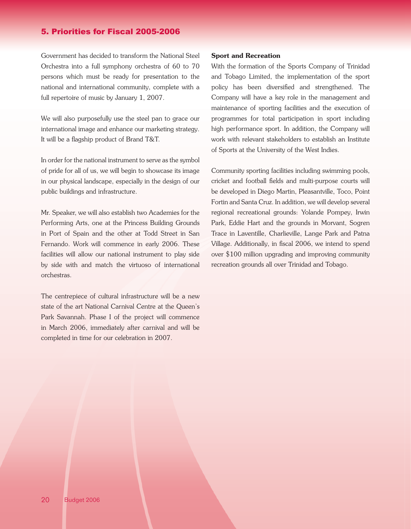Government has decided to transform the National Steel Orchestra into a full symphony orchestra of 60 to 70 persons which must be ready for presentation to the national and international community, complete with a full repertoire of music by January 1, 2007.

We will also purposefully use the steel pan to grace our international image and enhance our marketing strategy. It will be a flagship product of Brand T&T.

In order for the national instrument to serve as the symbol of pride for all of us, we will begin to showcase its image in our physical landscape, especially in the design of our public buildings and infrastructure.

Mr. Speaker, we will also establish two Academies for the Performing Arts, one at the Princess Building Grounds in Port of Spain and the other at Todd Street in San Fernando. Work will commence in early 2006. These facilities will allow our national instrument to play side by side with and match the virtuoso of international orchestras.

The centrepiece of cultural infrastructure will be a new state of the art National Carnival Centre at the Queen's Park Savannah. Phase I of the project will commence in March 2006, immediately after carnival and will be completed in time for our celebration in 2007.

#### **Sport and Recreation**

With the formation of the Sports Company of Trinidad and Tobago Limited, the implementation of the sport policy has been diversified and strengthened. The Company will have a key role in the management and maintenance of sporting facilities and the execution of programmes for total participation in sport including high performance sport. In addition, the Company will work with relevant stakeholders to establish an Institute of Sports at the University of the West Indies.

Community sporting facilities including swimming pools, cricket and football fields and multi-purpose courts will be developed in Diego Martin, Pleasantville, Toco, Point Fortin and Santa Cruz. In addition, we will develop several regional recreational grounds: Yolande Pompey, Irwin Park, Eddie Hart and the grounds in Morvant, Sogren Trace in Laventille, Charlieville, Lange Park and Patna Village. Additionally, in fiscal 2006, we intend to spend over \$100 million upgrading and improving community recreation grounds all over Trinidad and Tobago.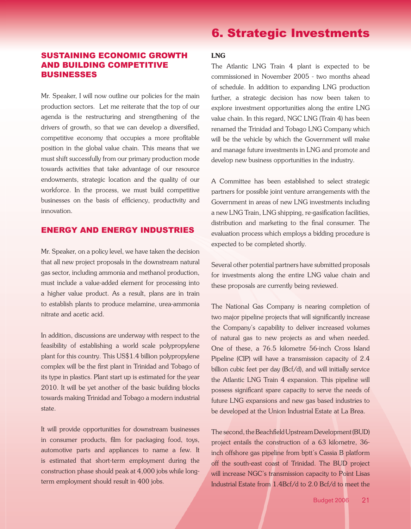## SUSTAINING ECONOMIC GROWTH AND BUILDING COMPETITIVE BUSINESSES

Mr. Speaker, I will now outline our policies for the main production sectors. Let me reiterate that the top of our agenda is the restructuring and strengthening of the drivers of growth, so that we can develop a diversified, competitive economy that occupies a more profitable position in the global value chain. This means that we must shift successfully from our primary production mode towards activities that take advantage of our resource endowments, strategic location and the quality of our workforce. In the process, we must build competitive businesses on the basis of efficiency, productivity and innovation.

## ENERGY AND ENERGY INDUSTRIES

Mr. Speaker, on a policy level, we have taken the decision that all new project proposals in the downstream natural gas sector, including ammonia and methanol production, must include a value-added element for processing into a higher value product. As a result, plans are in train to establish plants to produce melamine, urea-ammonia nitrate and acetic acid.

In addition, discussions are underway with respect to the feasibility of establishing a world scale polypropylene plant for this country. This US\$1.4 billion polypropylene complex will be the first plant in Trinidad and Tobago of its type in plastics. Plant start up is estimated for the year 2010. It will be yet another of the basic building blocks towards making Trinidad and Tobago a modern industrial state.

It will provide opportunities for downstream businesses in consumer products, film for packaging food, toys, automotive parts and appliances to name a few. It is estimated that short-term employment during the construction phase should peak at 4,000 jobs while longterm employment should result in 400 jobs.

## 6. Strategic Investments

#### **LNG**

The Atlantic LNG Train 4 plant is expected to be commissioned in November 2005 - two months ahead of schedule. In addition to expanding LNG production further, a strategic decision has now been taken to explore investment opportunities along the entire LNG value chain. In this regard, NGC LNG (Train 4) has been renamed the Trinidad and Tobago LNG Company which will be the vehicle by which the Government will make and manage future investments in LNG and promote and develop new business opportunities in the industry.

A Committee has been established to select strategic partners for possible joint venture arrangements with the Government in areas of new LNG investments including a new LNG Train, LNG shipping, re-gasification facilities, distribution and marketing to the final consumer. The evaluation process which employs a bidding procedure is expected to be completed shortly.

Several other potential partners have submitted proposals for investments along the entire LNG value chain and these proposals are currently being reviewed.

The National Gas Company is nearing completion of two major pipeline projects that will significantly increase the Company's capability to deliver increased volumes of natural gas to new projects as and when needed. One of these, a 76.5 kilometre 56-inch Cross Island Pipeline (CIP) will have a transmission capacity of 2.4 billion cubic feet per day (Bcf/d), and will initially service the Atlantic LNG Train 4 expansion. This pipeline will possess significant spare capacity to serve the needs of future LNG expansions and new gas based industries to be developed at the Union Industrial Estate at La Brea.

The second, the Beachfield Upstream Development (BUD) project entails the construction of a 63 kilometre, 36 inch offshore gas pipeline from bptt's Cassia B platform off the south-east coast of Trinidad. The BUD project will increase NGC's transmission capacity to Point Lisas Industrial Estate from 1.4Bcf/d to 2.0 Bcf/d to meet the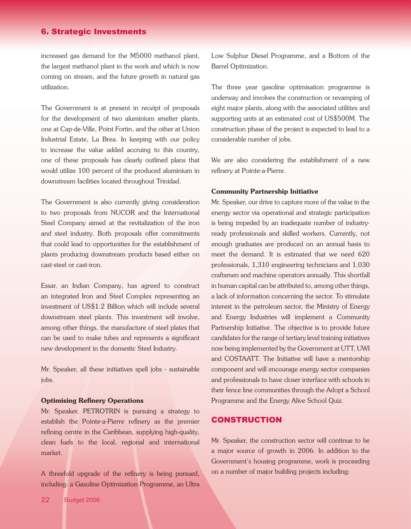increased gas demand for the M5000 methanol plant, the largest methanol plant in the work and which is now coming on stream, and the future growth in natural gas utilization.

The Government is at present in receipt of proposals for the development of two aluminium smelter plants, one at Cap-de-Ville, Point Fortin, and the other at Union Industrial Estate, La Brea. In keeping with our policy to increase the value added accruing to this country, one of these proposals has clearly outlined plans that would utilize 100 percent of the produced aluminium in downstream facilities located throughout Trinidad.

The Government is also currently giving consideration to two proposals from NUCOR and the International Steel Company aimed at the revitalization of the iron and steel industry. Both proposals offer commitments that could lead to opportunities for the establishment of plants producing downstream products based either on cast-steel or cast-iron.

Essar, an Indian Company, has agreed to construct an integrated Iron and Steel Complex representing an investment of US\$1.2 Billion which will include several downstream steel plants. This investment will involve, among other things, the manufacture of steel plates that can be used to make tubes and represents a significant new development in the domestic Steel Industry.

Mr. Speaker, all these initiatives spell jobs - sustainable jobs.

#### **Optimising Refinery Operations**

Mr. Speaker, PETROTRIN is pursuing a strategy to establish the Pointe-a-Pierre refinery as the premier refining centre in the Caribbean, supplying high-quality, clean fuels to the local, regional and international market.

A threefold upgrade of the refinery is being pursued, including: a Gasoline Optimization Programme, an Ultra Low Sulphur Diesel Programme, and a Bottom of the Barrel Optimization.

The three year gasoline optimisation programme is underway and involves the construction or revamping of eight major plants, along with the associated utilities and supporting units at an estimated cost of US\$500M. The construction phase of the project is expected to lead to a considerable number of jobs.

We are also considering the establishment of a new refinery at Pointe-a-Pierre.

#### **Community Partnership Initiative**

Mr. Speaker, our drive to capture more of the value in the energy sector via operational and strategic participation is being impeded by an inadequate number of industryready professionals and skilled workers. Currently, not enough graduates are produced on an annual basis to meet the demand. It is estimated that we need 620 professionals, 1,310 engineering technicians and 1,030 craftsmen and machine operators annually. This shortfall in human capital can be attributed to, among other things, a lack of information concerning the sector. To stimulate interest in the petroleum sector, the Ministry of Energy and Energy Industries will implement a Community Partnership Initiative. The objective is to provide future candidates for the range of tertiary level training initiatives now being implemented by the Government at UTT, UWI and COSTAATT. The Initiative will have a mentorship component and will encourage energy sector companies and professionals to have closer interface with schools in their fence line communities through the Adopt a School Programme and the Energy Alive School Quiz.

#### **CONSTRUCTION**

Mr. Speaker, the construction sector will continue to be a major source of growth in 2006. In addition to the Government's housing programme, work is proceeding on a number of major building projects including: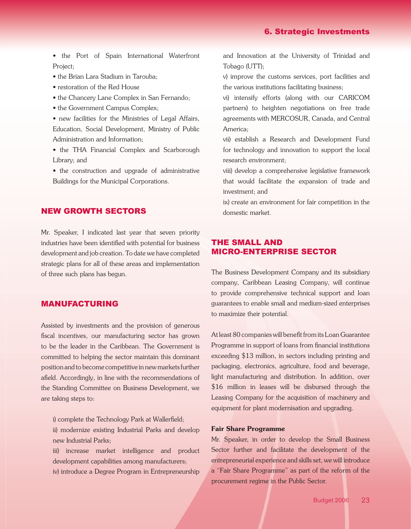- the Port of Spain International Waterfront Project;
- the Brian Lara Stadium in Tarouba;
- restoration of the Red House
- the Chancery Lane Complex in San Fernando;
- the Government Campus Complex;

• new facilities for the Ministries of Legal Affairs, Education, Social Development, Ministry of Public Administration and Information;

- the THA Financial Complex and Scarborough Library; and
- the construction and upgrade of administrative Buildings for the Municipal Corporations.

#### NEW GROWTH SECTORS

Mr. Speaker, I indicated last year that seven priority industries have been identified with potential for business development and job creation. To date we have completed strategic plans for all of these areas and implementation of three such plans has begun.

## MANUFACTURING

Assisted by investments and the provision of generous fiscal incentives, our manufacturing sector has grown to be the leader in the Caribbean. The Government is committed to helping the sector maintain this dominant position and to become competitive in new markets further afield. Accordingly, in line with the recommendations of the Standing Committee on Business Development, we are taking steps to:

i) complete the Technology Park at Wallerfield;

ii) modernize existing Industrial Parks and develop new Industrial Parks;

iii) increase market intelligence and product development capabilities among manufacturers;

iv) introduce a Degree Program in Entrepreneurship

and Innovation at the University of Trinidad and Tobago (UTT);

v) improve the customs services, port facilities and the various institutions facilitating business;

vi) intensify efforts (along with our CARICOM partners) to heighten negotiations on free trade agreements with MERCOSUR, Canada, and Central America;

vii) establish a Research and Development Fund for technology and innovation to support the local research environment;

viii) develop a comprehensive legislative framework that would facilitate the expansion of trade and investment; and

ix) create an environment for fair competition in the domestic market.

## THE SMALL AND MICRO-ENTERPRISE SECTOR

The Business Development Company and its subsidiary company, Caribbean Leasing Company, will continue to provide comprehensive technical support and loan guarantees to enable small and medium-sized enterprises to maximize their potential.

At least 80 companies will benefit from its Loan Guarantee Programme in support of loans from financial institutions exceeding \$13 million, in sectors including printing and packaging, electronics, agriculture, food and beverage, light manufacturing and distribution. In addition, over \$16 million in leases will be disbursed through the Leasing Company for the acquisition of machinery and equipment for plant modernisation and upgrading.

#### **Fair Share Programme**

Mr. Speaker, in order to develop the Small Business Sector further and facilitate the development of the entrepreneurial experience and skills set, we will introduce a "Fair Share Programme" as part of the reform of the procurement regime in the Public Sector.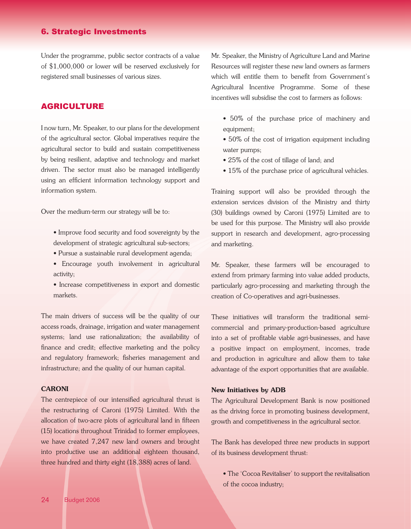Under the programme, public sector contracts of a value of \$1,000,000 or lower will be reserved exclusively for registered small businesses of various sizes.

## AGRICULTURE

I now turn, Mr. Speaker, to our plans for the development of the agricultural sector. Global imperatives require the agricultural sector to build and sustain competitiveness by being resilient, adaptive and technology and market driven. The sector must also be managed intelligently using an efficient information technology support and information system.

Over the medium-term our strategy will be to:

- Improve food security and food sovereignty by the development of strategic agricultural sub-sectors;
- Pursue a sustainable rural development agenda;
- Encourage youth involvement in agricultural activity;
- Increase competitiveness in export and domestic markets.

The main drivers of success will be the quality of our access roads, drainage, irrigation and water management systems; land use rationalization; the availability of finance and credit; effective marketing and the policy and regulatory framework; fisheries management and infrastructure; and the quality of our human capital.

#### **CARONI**

The centrepiece of our intensified agricultural thrust is the restructuring of Caroni (1975) Limited. With the allocation of two-acre plots of agricultural land in fifteen (15) locations throughout Trinidad to former employees, we have created 7,247 new land owners and brought into productive use an additional eighteen thousand, three hundred and thirty eight (18,388) acres of land.

Mr. Speaker, the Ministry of Agriculture Land and Marine Resources will register these new land owners as farmers which will entitle them to benefit from Government's Agricultural Incentive Programme. Some of these incentives will subsidise the cost to farmers as follows:

- 50% of the purchase price of machinery and equipment;
- 50% of the cost of irrigation equipment including water pumps;
- 25% of the cost of tillage of land; and
- 15% of the purchase price of agricultural vehicles.

Training support will also be provided through the extension services division of the Ministry and thirty (30) buildings owned by Caroni (1975) Limited are to be used for this purpose. The Ministry will also provide support in research and development, agro-processing and marketing.

Mr. Speaker, these farmers will be encouraged to extend from primary farming into value added products, particularly agro-processing and marketing through the creation of Co-operatives and agri-businesses.

These initiatives will transform the traditional semicommercial and primary-production-based agriculture into a set of profitable viable agri-businesses, and have a positive impact on employment, incomes, trade and production in agriculture and allow them to take advantage of the export opportunities that are available.

#### **New Initiatives by ADB**

The Agricultural Development Bank is now positioned as the driving force in promoting business development, growth and competitiveness in the agricultural sector.

The Bank has developed three new products in support of its business development thrust:

• The 'Cocoa Revitaliser' to support the revitalisation of the cocoa industry;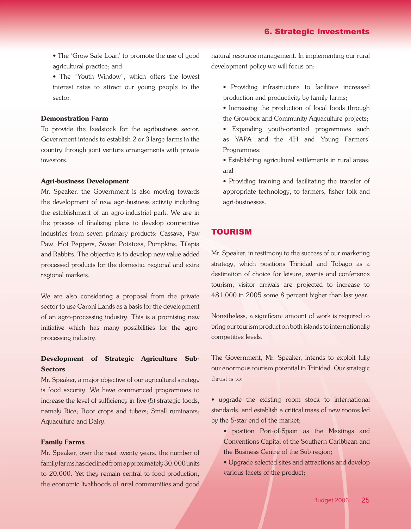- The 'Grow Safe Loan' to promote the use of good agricultural practice; and
- The "Youth Window", which offers the lowest interest rates to attract our young people to the sector.

#### **Demonstration Farm**

To provide the feedstock for the agribusiness sector, Government intends to establish 2 or 3 large farms in the country through joint venture arrangements with private investors.

#### **Agri-business Development**

Mr. Speaker, the Government is also moving towards the development of new agri-business activity including the establishment of an agro-industrial park. We are in the process of finalizing plans to develop competitive industries from seven primary products: Cassava, Paw Paw, Hot Peppers, Sweet Potatoes, Pumpkins, Tilapia and Rabbits. The objective is to develop new value added processed products for the domestic, regional and extra regional markets.

We are also considering a proposal from the private sector to use Caroni Lands as a basis for the development of an agro-processing industry. This is a promising new initiative which has many possibilities for the agroprocessing industry.

## **Development of Strategic Agriculture Sub-Sectors**

Mr. Speaker, a major objective of our agricultural strategy is food security. We have commenced programmes to increase the level of sufficiency in five (5) strategic foods, namely Rice; Root crops and tubers; Small ruminants; Aquaculture and Dairy.

#### **Family Farms**

Mr. Speaker, over the past twenty years, the number of family farms has declined from approximately 30,000 units to 20,000. Yet they remain central to food production, the economic livelihoods of rural communities and good natural resource management. In implementing our rural development policy we will focus on:

- Providing infrastructure to facilitate increased production and productivity by family farms;
- Increasing the production of local foods through the Growbox and Community Aquaculture projects;
- Expanding youth-oriented programmes such as YAPA and the 4H and Young Farmers' Programmes;
- Establishing agricultural settlements in rural areas; and
- Providing training and facilitating the transfer of appropriate technology, to farmers, fisher folk and agri-businesses.

## TOURISM

Mr. Speaker, in testimony to the success of our marketing strategy, which positions Trinidad and Tobago as a destination of choice for leisure, events and conference tourism, visitor arrivals are projected to increase to 481,000 in 2005 some 8 percent higher than last year.

Nonetheless, a significant amount of work is required to bring our tourism product on both islands to internationally competitive levels.

The Government, Mr. Speaker, intends to exploit fully our enormous tourism potential in Trinidad. Our strategic thrust is to:

• upgrade the existing room stock to international standards, and establish a critical mass of new rooms led by the 5-star end of the market;

- position Port-of-Spain as the Meetings and Conventions Capital of the Southern Caribbean and the Business Centre of the Sub-region;
- Upgrade selected sites and attractions and develop various facets of the product;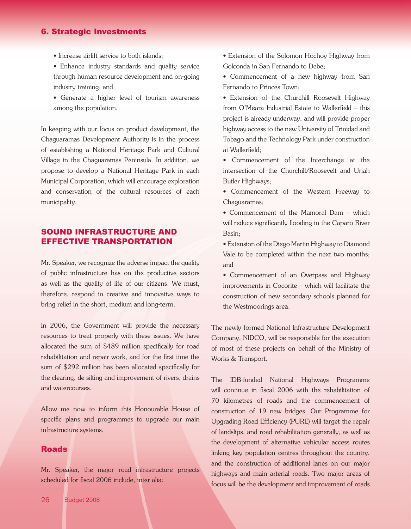- Increase airlift service to both islands;
- Enhance industry standards and quality service through human resource development and on-going industry training; and
- Generate a higher level of tourism awareness among the population.

In keeping with our focus on product development, the Chaguaramas Development Authority is in the process of establishing a National Heritage Park and Cultural Village in the Chaguaramas Peninsula. In addition, we propose to develop a National Heritage Park in each Municipal Corporation, which will encourage exploration and conservation of the cultural resources of each municipality.

## SOUND INFRASTRUCTURE AND EFFECTIVE TRANSPORTATION

Mr. Speaker, we recognize the adverse impact the quality of public infrastructure has on the productive sectors as well as the quality of life of our citizens. We must, therefore, respond in creative and innovative ways to bring relief in the short, medium and long-term.

In 2006, the Government will provide the necessary resources to treat properly with these issues. We have allocated the sum of  $$489$  million specifically for road rehabilitation and repair work, and for the first time the sum of \$292 million has been allocated specifically for the clearing, de-silting and improvement of rivers, drains and watercourses.

Allow me now to inform this Honourable House of specific plans and programmes to upgrade our main infrastructure systems.

#### Roads

Mr. Speaker, the major road infrastructure projects scheduled for fiscal 2006 include, inter alia:

- Extension of the Solomon Hochoy Highway from Golconda in San Fernando to Debe;
- Commencement of a new highway from San Fernando to Princes Town;
- Extension of the Churchill Roosevelt Highway from O'Meara Industrial Estate to Wallerfield - this project is already underway, and will provide proper highway access to the new University of Trinidad and Tobago and the Technology Park under construction at Wallerfield;
- Commencement of the Interchange at the intersection of the Churchill/Roosevelt and Uriah Butler Highways;
- Commencement of the Western Freeway to Chaguaramas;
- Commencement of the Mamoral Dam which will reduce significantly flooding in the Caparo River Basin;
- Extension of the Diego Martin Highway to Diamond Vale to be completed within the next two months; and
- Commencement of an Overpass and Highway improvements in Cocorite – which will facilitate the construction of new secondary schools planned for the Westmoorings area.

The newly formed National Infrastructure Development Company, NIDCO, will be responsible for the execution of most of these projects on behalf of the Ministry of Works & Transport.

The IDB-funded National Highways Programme will continue in fiscal 2006 with the rehabilitation of 70 kilometres of roads and the commencement of construction of 19 new bridges. Our Programme for Upgrading Road Efficiency (PURE) will target the repair of landslips, and road rehabilitation generally, as well as the development of alternative vehicular access routes linking key population centres throughout the country, and the construction of additional lanes on our major highways and main arterial roads. Two major areas of focus will be the development and improvement of roads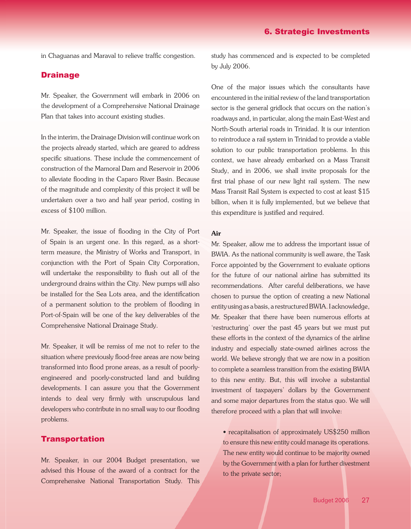in Chaguanas and Maraval to relieve traffic congestion.

#### **Drainage**

Mr. Speaker, the Government will embark in 2006 on the development of a Comprehensive National Drainage Plan that takes into account existing studies.

In the interim, the Drainage Division will continue work on the projects already started, which are geared to address specific situations. These include the commencement of construction of the Mamoral Dam and Reservoir in 2006 to alleviate flooding in the Caparo River Basin. Because of the magnitude and complexity of this project it will be undertaken over a two and half year period, costing in excess of \$100 million.

Mr. Speaker, the issue of flooding in the City of Port of Spain is an urgent one. In this regard, as a shortterm measure, the Ministry of Works and Transport, in conjunction with the Port of Spain City Corporation, will undertake the responsibility to flush out all of the underground drains within the City. New pumps will also be installed for the Sea Lots area, and the identification of a permanent solution to the problem of flooding in Port-of-Spain will be one of the key deliverables of the Comprehensive National Drainage Study.

Mr. Speaker, it will be remiss of me not to refer to the situation where previously flood-free areas are now being transformed into flood prone areas, as a result of poorlyengineered and poorly-constructed land and building developments. I can assure you that the Government intends to deal very firmly with unscrupulous land developers who contribute in no small way to our flooding problems.

#### Transportation

Mr. Speaker, in our 2004 Budget presentation, we advised this House of the award of a contract for the Comprehensive National Transportation Study. This study has commenced and is expected to be completed by July 2006.

One of the major issues which the consultants have encountered in the initial review of the land transportation sector is the general gridlock that occurs on the nation's roadways and, in particular, along the main East-West and North-South arterial roads in Trinidad. It is our intention to reintroduce a rail system in Trinidad to provide a viable solution to our public transportation problems. In this context, we have already embarked on a Mass Transit Study, and in 2006, we shall invite proposals for the first trial phase of our new light rail system. The new Mass Transit Rail System is expected to cost at least \$15 billion, when it is fully implemented, but we believe that this expenditure is justified and required.

#### **Air**

Mr. Speaker, allow me to address the important issue of BWIA. As the national community is well aware, the Task Force appointed by the Government to evaluate options for the future of our national airline has submitted its recommendations. After careful deliberations, we have chosen to pursue the option of creating a new National entity using as a basis, a restructured BWIA. I acknowledge, Mr. Speaker that there have been numerous efforts at 'restructuring' over the past 45 years but we must put these efforts in the context of the dynamics of the airline industry and especially state-owned airlines across the world. We believe strongly that we are now in a position to complete a seamless transition from the existing BWIA to this new entity. But, this will involve a substantial investment of taxpayers' dollars by the Government and some major departures from the status quo. We will therefore proceed with a plan that will involve:

• recapitalisation of approximately US\$250 million to ensure this new entity could manage its operations. The new entity would continue to be majority owned by the Government with a plan for further divestment to the private sector;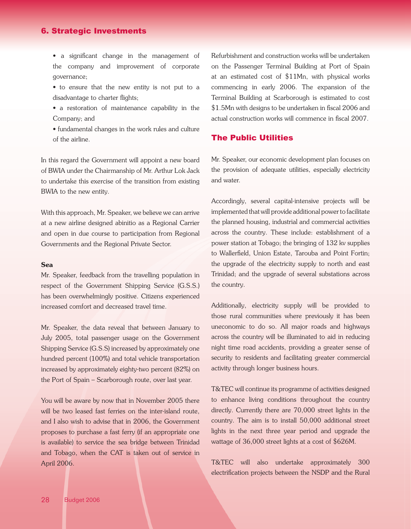• a significant change in the management of the company and improvement of corporate governance;

• to ensure that the new entity is not put to a disadvantage to charter flights;

• a restoration of maintenance capability in the Company; and

• fundamental changes in the work rules and culture of the airline.

In this regard the Government will appoint a new board of BWIA under the Chairmanship of Mr. Arthur Lok Jack to undertake this exercise of the transition from existing BWIA to the new entity.

With this approach, Mr. Speaker, we believe we can arrive at a new airline designed abinitio as a Regional Carrier and open in due course to participation from Regional Governments and the Regional Private Sector.

#### **Sea**

Mr. Speaker, feedback from the travelling population in respect of the Government Shipping Service (G.S.S.) has been overwhelmingly positive. Citizens experienced increased comfort and decreased travel time.

Mr. Speaker, the data reveal that between January to July 2005, total passenger usage on the Government Shipping Service (G.S.S) increased by approximately one hundred percent (100%) and total vehicle transportation increased by approximately eighty-two percent (82%) on the Port of Spain – Scarborough route, over last year.

You will be aware by now that in November 2005 there will be two leased fast ferries on the inter-island route, and I also wish to advise that in 2006, the Government proposes to purchase a fast ferry (if an appropriate one is available) to service the sea bridge between Trinidad and Tobago, when the CAT is taken out of service in April 2006.

Refurbishment and construction works will be undertaken on the Passenger Terminal Building at Port of Spain at an estimated cost of \$11Mn, with physical works commencing in early 2006. The expansion of the Terminal Building at Scarborough is estimated to cost \$1.5Mn with designs to be undertaken in fiscal 2006 and actual construction works will commence in fiscal 2007.

## The Public Utilities

Mr. Speaker, our economic development plan focuses on the provision of adequate utilities, especially electricity and water.

Accordingly, several capital-intensive projects will be implemented that will provide additional power to facilitate the planned housing, industrial and commercial activities across the country. These include: establishment of a power station at Tobago; the bringing of 132 kv supplies to Wallerfield, Union Estate, Tarouba and Point Fortin; the upgrade of the electricity supply to north and east Trinidad; and the upgrade of several substations across the country.

Additionally, electricity supply will be provided to those rural communities where previously it has been uneconomic to do so. All major roads and highways across the country will be illuminated to aid in reducing night time road accidents, providing a greater sense of security to residents and facilitating greater commercial activity through longer business hours.

T&TEC will continue its programme of activities designed to enhance living conditions throughout the country directly. Currently there are 70,000 street lights in the country. The aim is to install 50,000 additional street lights in the next three year period and upgrade the wattage of 36,000 street lights at a cost of \$626M.

T&TEC will also undertake approximately 300 electrification projects between the NSDP and the Rural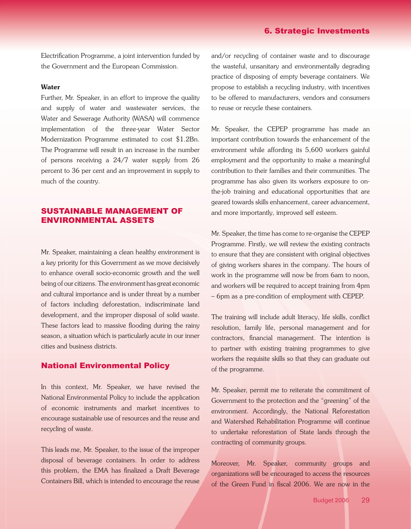Electrification Programme, a joint intervention funded by the Government and the European Commission.

#### **Water**

Further, Mr. Speaker, in an effort to improve the quality and supply of water and wastewater services, the Water and Sewerage Authority (WASA) will commence implementation of the three-year Water Sector Modernization Programme estimated to cost \$1.2Bn. The Programme will result in an increase in the number of persons receiving a 24/7 water supply from 26 percent to 36 per cent and an improvement in supply to much of the country.

## SUSTAINABLE MANAGEMENT OF ENVIRONMENTAL ASSETS

Mr. Speaker, maintaining a clean healthy environment is a key priority for this Government as we move decisively to enhance overall socio-economic growth and the well being of our citizens. The environment has great economic and cultural importance and is under threat by a number of factors including deforestation, indiscriminate land development, and the improper disposal of solid waste. These factors lead to massive flooding during the rainy season, a situation which is particularly acute in our inner cities and business districts.

#### National Environmental Policy

In this context, Mr. Speaker, we have revised the National Environmental Policy to include the application of economic instruments and market incentives to encourage sustainable use of resources and the reuse and recycling of waste.

This leads me, Mr. Speaker, to the issue of the improper disposal of beverage containers. In order to address this problem, the EMA has finalized a Draft Beverage Containers Bill, which is intended to encourage the reuse and/or recycling of container waste and to discourage the wasteful, unsanitary and environmentally degrading practice of disposing of empty beverage containers. We propose to establish a recycling industry, with incentives to be offered to manufacturers, vendors and consumers to reuse or recycle these containers.

Mr. Speaker, the CEPEP programme has made an important contribution towards the enhancement of the environment while affording its 5,600 workers gainful employment and the opportunity to make a meaningful contribution to their families and their communities. The programme has also given its workers exposure to onthe-job training and educational opportunities that are geared towards skills enhancement, career advancement, and more importantly, improved self esteem.

Mr. Speaker, the time has come to re-organise the CEPEP Programme. Firstly, we will review the existing contracts to ensure that they are consistent with original objectives of giving workers shares in the company. The hours of work in the programme will now be from 6am to noon, and workers will be required to accept training from 4pm – 6pm as a pre-condition of employment with CEPEP.

The training will include adult literacy, life skills, conflict resolution, family life, personal management and for contractors, financial management. The intention is to partner with existing training programmes to give workers the requisite skills so that they can graduate out of the programme.

Mr. Speaker, permit me to reiterate the commitment of Government to the protection and the "greening" of the environment. Accordingly, the National Reforestation and Watershed Rehabilitation Programme will continue to undertake reforestation of State lands through the contracting of community groups.

Moreover, Mr. Speaker, community groups and organizations will be encouraged to access the resources of the Green Fund in fiscal 2006. We are now in the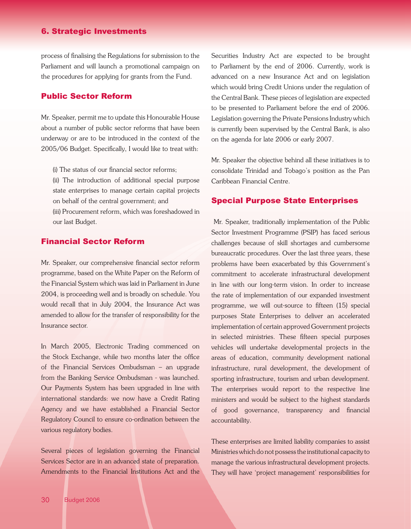process of finalising the Regulations for submission to the Parliament and will launch a promotional campaign on the procedures for applying for grants from the Fund.

## Public Sector Reform

Mr. Speaker, permit me to update this Honourable House about a number of public sector reforms that have been underway or are to be introduced in the context of the 2005/06 Budget. Specifically, I would like to treat with:

(i) The status of our financial sector reforms;

(ii) The introduction of additional special purpose state enterprises to manage certain capital projects on behalf of the central government; and

(iii) Procurement reform, which was foreshadowed in our last Budget.

#### Financial Sector Reform

Mr. Speaker, our comprehensive financial sector reform programme, based on the White Paper on the Reform of the Financial System which was laid in Parliament in June 2004, is proceeding well and is broadly on schedule. You would recall that in July 2004, the Insurance Act was amended to allow for the transfer of responsibility for the Insurance sector.

In March 2005, Electronic Trading commenced on the Stock Exchange, while two months later the office of the Financial Services Ombudsman – an upgrade from the Banking Service Ombudsman - was launched. Our Payments System has been upgraded in line with international standards: we now have a Credit Rating Agency and we have established a Financial Sector Regulatory Council to ensure co-ordination between the various regulatory bodies.

Several pieces of legislation governing the Financial Services Sector are in an advanced state of preparation. Amendments to the Financial Institutions Act and the Securities Industry Act are expected to be brought to Parliament by the end of 2006. Currently, work is advanced on a new Insurance Act and on legislation which would bring Credit Unions under the regulation of the Central Bank. These pieces of legislation are expected to be presented to Parliament before the end of 2006. Legislation governing the Private Pensions Industry which is currently been supervised by the Central Bank, is also on the agenda for late 2006 or early 2007.

Mr. Speaker the objective behind all these initiatives is to consolidate Trinidad and Tobago's position as the Pan Caribbean Financial Centre.

#### Special Purpose State Enterprises

 Mr. Speaker, traditionally implementation of the Public Sector Investment Programme (PSIP) has faced serious challenges because of skill shortages and cumbersome bureaucratic procedures. Over the last three years, these problems have been exacerbated by this Government's commitment to accelerate infrastructural development in line with our long-term vision. In order to increase the rate of implementation of our expanded investment programme, we will out-source to fifteen (15) special purposes State Enterprises to deliver an accelerated implementation of certain approved Government projects in selected ministries. These fifteen special purposes vehicles will undertake developmental projects in the areas of education, community development national infrastructure, rural development, the development of sporting infrastructure, tourism and urban development. The enterprises would report to the respective line ministers and would be subject to the highest standards of good governance, transparency and financial accountability.

These enterprises are limited liability companies to assist Ministries which do not possess the institutional capacity to manage the various infrastructural development projects. They will have 'project management' responsibilities for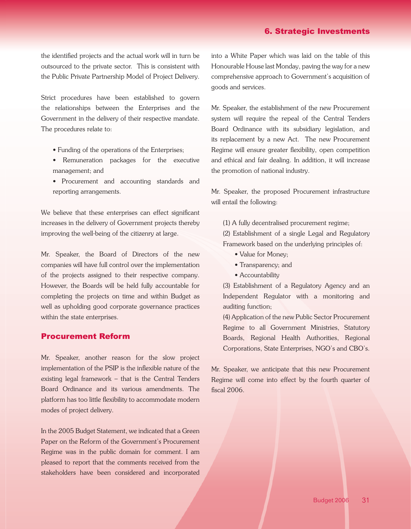the identified projects and the actual work will in turn be outsourced to the private sector. This is consistent with the Public Private Partnership Model of Project Delivery.

Strict procedures have been established to govern the relationships between the Enterprises and the Government in the delivery of their respective mandate. The procedures relate to:

- Funding of the operations of the Enterprises;
- Remuneration packages for the executive management; and
- Procurement and accounting standards and reporting arrangements.

We believe that these enterprises can effect significant increases in the delivery of Government projects thereby improving the well-being of the citizenry at large.

Mr. Speaker, the Board of Directors of the new companies will have full control over the implementation of the projects assigned to their respective company. However, the Boards will be held fully accountable for completing the projects on time and within Budget as well as upholding good corporate governance practices within the state enterprises.

## Procurement Reform

Mr. Speaker, another reason for the slow project implementation of the PSIP is the inflexible nature of the existing legal framework – that is the Central Tenders Board Ordinance and its various amendments. The platform has too little flexibility to accommodate modern modes of project delivery.

In the 2005 Budget Statement, we indicated that a Green Paper on the Reform of the Government's Procurement Regime was in the public domain for comment. I am pleased to report that the comments received from the stakeholders have been considered and incorporated

into a White Paper which was laid on the table of this Honourable House last Monday, paving the way for a new comprehensive approach to Government's acquisition of goods and services.

Mr. Speaker, the establishment of the new Procurement system will require the repeal of the Central Tenders Board Ordinance with its subsidiary legislation, and its replacement by a new Act. The new Procurement Regime will ensure greater flexibility, open competition and ethical and fair dealing. In addition, it will increase the promotion of national industry.

Mr. Speaker, the proposed Procurement infrastructure will entail the following:

(1) A fully decentralised procurement regime;

(2) Establishment of a single Legal and Regulatory Framework based on the underlying principles of:

- Value for Money;
- Transparency; and
- Accountability

(3) Establishment of a Regulatory Agency and an Independent Regulator with a monitoring and auditing function;

(4) Application of the new Public Sector Procurement Regime to all Government Ministries, Statutory Boards, Regional Health Authorities, Regional Corporations, State Enterprises, NGO's and CBO's.

Mr. Speaker, we anticipate that this new Procurement Regime will come into effect by the fourth quarter of fiscal 2006.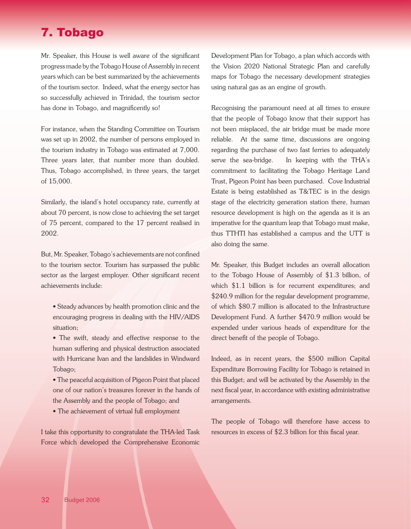# 7. Tobago

Mr. Speaker, this House is well aware of the significant progress made by the Tobago House of Assembly in recent years which can be best summarized by the achievements of the tourism sector. Indeed, what the energy sector has so successfully achieved in Trinidad, the tourism sector has done in Tobago, and magnificently so!

For instance, when the Standing Committee on Tourism was set up in 2002, the number of persons employed in the tourism industry in Tobago was estimated at 7,000. Three years later, that number more than doubled. Thus, Tobago accomplished, in three years, the target of 15,000.

Similarly, the island's hotel occupancy rate, currently at about 70 percent, is now close to achieving the set target of 75 percent, compared to the 17 percent realised in 2002.

But, Mr. Speaker, Tobago's achievements are not confined to the tourism sector. Tourism has surpassed the public sector as the largest employer. Other significant recent achievements include:

- Steady advances by health promotion clinic and the encouraging progress in dealing with the HIV/AIDS situation;
- The swift, steady and effective response to the human suffering and physical destruction associated with Hurricane Ivan and the landslides in Windward Tobago;

• The peaceful acquisition of Pigeon Point that placed one of our nation's treasures forever in the hands of the Assembly and the people of Tobago; and

• The achievement of virtual full employment

I take this opportunity to congratulate the THA-led Task Force which developed the Comprehensive Economic Development Plan for Tobago, a plan which accords with the Vision 2020 National Strategic Plan and carefully maps for Tobago the necessary development strategies using natural gas as an engine of growth.

Recognising the paramount need at all times to ensure that the people of Tobago know that their support has not been misplaced, the air bridge must be made more reliable. At the same time, discussions are ongoing regarding the purchase of two fast ferries to adequately serve the sea-bridge. In keeping with the THA's commitment to facilitating the Tobago Heritage Land Trust, Pigeon Point has been purchased. Cove Industrial Estate is being established as T&TEC is in the design stage of the electricity generation station there, human resource development is high on the agenda as it is an imperative for the quantum leap that Tobago must make, thus TTHTI has established a campus and the UTT is also doing the same.

Mr. Speaker, this Budget includes an overall allocation to the Tobago House of Assembly of \$1.3 billion, of which \$1.1 billion is for recurrent expenditures; and \$240.9 million for the regular development programme, of which \$80.7 million is allocated to the Infrastructure Development Fund. A further \$470.9 million would be expended under various heads of expenditure for the direct benefit of the people of Tobago.

Indeed, as in recent years, the \$500 million Capital Expenditure Borrowing Facility for Tobago is retained in this Budget; and will be activated by the Assembly in the next fiscal year, in accordance with existing administrative arrangements.

The people of Tobago will therefore have access to resources in excess of \$2.3 billion for this fiscal year.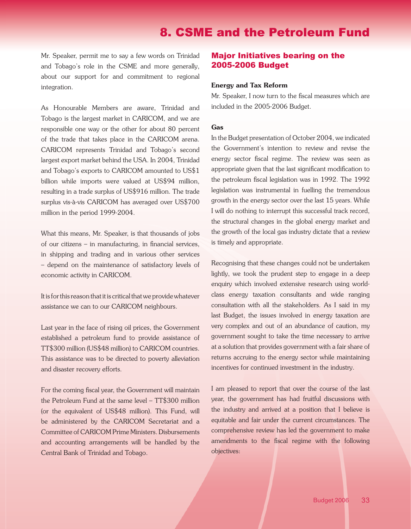## 8. CSME and the Petroleum Fund

Mr. Speaker, permit me to say a few words on Trinidad and Tobago's role in the CSME and more generally, about our support for and commitment to regional integration.

As Honourable Members are aware, Trinidad and Tobago is the largest market in CARICOM, and we are responsible one way or the other for about 80 percent of the trade that takes place in the CARICOM arena. CARICOM represents Trinidad and Tobago's second largest export market behind the USA. In 2004, Trinidad and Tobago's exports to CARICOM amounted to US\$1 billion while imports were valued at US\$94 million, resulting in a trade surplus of US\$916 million. The trade surplus vis-à-vis CARICOM has averaged over US\$700 million in the period 1999-2004.

What this means, Mr. Speaker, is that thousands of jobs of our citizens  $-$  in manufacturing, in financial services, in shipping and trading and in various other services – depend on the maintenance of satisfactory levels of economic activity in CARICOM.

It is for this reason that it is critical that we provide whatever assistance we can to our CARICOM neighbours.

Last year in the face of rising oil prices, the Government established a petroleum fund to provide assistance of TT\$300 million (US\$48 million) to CARICOM countries. This assistance was to be directed to poverty alleviation and disaster recovery efforts.

For the coming fiscal year, the Government will maintain the Petroleum Fund at the same level – TT\$300 million (or the equivalent of US\$48 million). This Fund, will be administered by the CARICOM Secretariat and a Committee of CARICOM Prime Ministers. Disbursements and accounting arrangements will be handled by the Central Bank of Trinidad and Tobago.

## Major Initiatives bearing on the 2005-2006 Budget

#### **Energy and Tax Reform**

Mr. Speaker, I now turn to the fiscal measures which are included in the 2005-2006 Budget.

#### **Gas**

In the Budget presentation of October 2004, we indicated the Government's intention to review and revise the energy sector fiscal regime. The review was seen as appropriate given that the last significant modification to the petroleum fiscal legislation was in 1992. The 1992 legislation was instrumental in fuelling the tremendous growth in the energy sector over the last 15 years. While I will do nothing to interrupt this successful track record, the structural changes in the global energy market and the growth of the local gas industry dictate that a review is timely and appropriate.

Recognising that these changes could not be undertaken lightly, we took the prudent step to engage in a deep enquiry which involved extensive research using worldclass energy taxation consultants and wide ranging consultation with all the stakeholders. As I said in my last Budget, the issues involved in energy taxation are very complex and out of an abundance of caution, my government sought to take the time necessary to arrive at a solution that provides government with a fair share of returns accruing to the energy sector while maintaining incentives for continued investment in the industry.

I am pleased to report that over the course of the last year, the government has had fruitful discussions with the industry and arrived at a position that I believe is equitable and fair under the current circumstances. The comprehensive review has led the government to make amendments to the fiscal regime with the following objectives: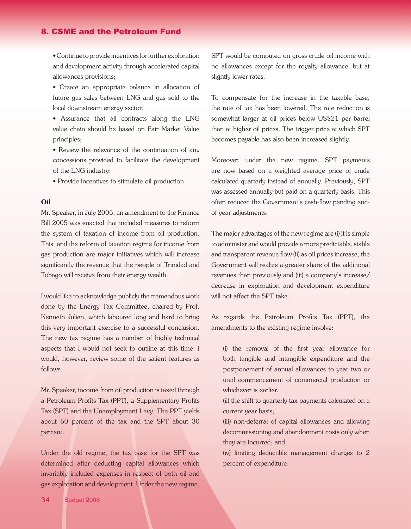## 8. CSME and the Petroleum Fund

• Continue to provide incentives for further exploration and development activity through accelerated capital allowances provisions;

• Create an appropriate balance in allocation of future gas sales between LNG and gas sold to the local downstream energy sector;

• Assurance that all contracts along the LNG value chain should be based on Fair Market Value principles;

• Review the relevance of the continuation of any concessions provided to facilitate the development of the LNG industry;

• Provide incentives to stimulate oil production.

#### **Oil**

Mr. Speaker, in July 2005, an amendment to the Finance Bill 2005 was enacted that included measures to reform the system of taxation of income from oil production. This, and the reform of taxation regime for income from gas production are major initiatives which will increase significantly the revenue that the people of Trinidad and Tobago will receive from their energy wealth.

I would like to acknowledge publicly the tremendous work done by the Energy Tax Committee, chaired by Prof. Kenneth Julien, which laboured long and hard to bring this very important exercise to a successful conclusion. The new tax regime has a number of highly technical aspects that I would not seek to outline at this time. I would, however, review some of the salient features as follows.

Mr. Speaker, income from oil production is taxed through a Petroleum Profits Tax (PPT), a Supplementary Profits Tax (SPT) and the Unemployment Levy. The PPT yields about 60 percent of the tax and the SPT about 30 percent.

Under the old regime, the tax base for the SPT was determined after deducting capital allowances which invariably included expenses in respect of both oil and gas exploration and development. Under the new regime,

SPT would be computed on gross crude oil income with no allowances except for the royalty allowance, but at slightly lower rates.

To compensate for the increase in the taxable base, the rate of tax has been lowered. The rate reduction is somewhat larger at oil prices below US\$21 per barrel than at higher oil prices. The trigger price at which SPT becomes payable has also been increased slightly.

Moreover, under the new regime, SPT payments are now based on a weighted average price of crude calculated quarterly instead of annually. Previously, SPT was assessed annually but paid on a quarterly basis. This often reduced the Government's cash-flow pending endof-year adjustments.

The major advantages of the new regime are (i) it is simple to administer and would provide a more predictable, stable and transparent revenue flow (ii) as oil prices increase, the Government will realize a greater share of the additional revenues than previously and (iii) a company's increase/ decrease in exploration and development expenditure will not affect the SPT take.

As regards the Petroleum Profits Tax (PPT), the amendments to the existing regime involve:

(i) the removal of the first year allowance for both tangible and intangible expenditure and the postponement of annual allowances to year two or until commencement of commercial production or whichever is earlier.

(ii) the shift to quarterly tax payments calculated on a current year basis;

(iii) non-deferral of capital allowances and allowing decommissioning and abandonment costs only when they are incurred; and

(iv) limiting deductible management charges to 2 percent of expenditure.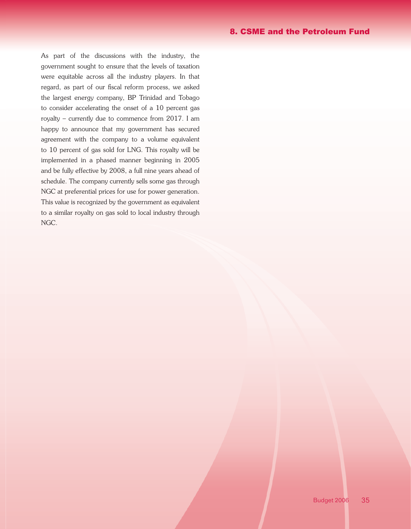As part of the discussions with the industry, the government sought to ensure that the levels of taxation were equitable across all the industry players. In that regard, as part of our fiscal reform process, we asked the largest energy company, BP Trinidad and Tobago to consider accelerating the onset of a 10 percent gas royalty – currently due to commence from 2017. I am happy to announce that my government has secured agreement with the company to a volume equivalent to 10 percent of gas sold for LNG. This royalty will be implemented in a phased manner beginning in 2005 and be fully effective by 2008, a full nine years ahead of schedule. The company currently sells some gas through NGC at preferential prices for use for power generation. This value is recognized by the government as equivalent to a similar royalty on gas sold to local industry through NGC.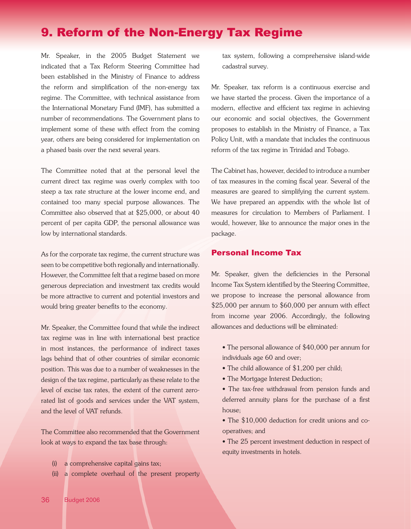Mr. Speaker, in the 2005 Budget Statement we indicated that a Tax Reform Steering Committee had been established in the Ministry of Finance to address the reform and simplification of the non-energy tax regime. The Committee, with technical assistance from the International Monetary Fund (IMF), has submitted a number of recommendations. The Government plans to implement some of these with effect from the coming year, others are being considered for implementation on a phased basis over the next several years.

The Committee noted that at the personal level the current direct tax regime was overly complex with too steep a tax rate structure at the lower income end, and contained too many special purpose allowances. The Committee also observed that at \$25,000, or about 40 percent of per capita GDP, the personal allowance was low by international standards.

As for the corporate tax regime, the current structure was seen to be competitive both regionally and internationally. However, the Committee felt that a regime based on more generous depreciation and investment tax credits would be more attractive to current and potential investors and would bring greater benefits to the economy.

Mr. Speaker, the Committee found that while the indirect tax regime was in line with international best practice in most instances, the performance of indirect taxes lags behind that of other countries of similar economic position. This was due to a number of weaknesses in the design of the tax regime, particularly as these relate to the level of excise tax rates, the extent of the current zerorated list of goods and services under the VAT system, and the level of VAT refunds.

The Committee also recommended that the Government look at ways to expand the tax base through:

- (i) a comprehensive capital gains tax;
- (ii) a complete overhaul of the present property

tax system, following a comprehensive island-wide cadastral survey.

Mr. Speaker, tax reform is a continuous exercise and we have started the process. Given the importance of a modern, effective and efficient tax regime in achieving our economic and social objectives, the Government proposes to establish in the Ministry of Finance, a Tax Policy Unit, with a mandate that includes the continuous reform of the tax regime in Trinidad and Tobago.

The Cabinet has, however, decided to introduce a number of tax measures in the coming fiscal year. Several of the measures are geared to simplifying the current system. We have prepared an appendix with the whole list of measures for circulation to Members of Parliament. I would, however, like to announce the major ones in the package.

#### Personal Income Tax

Mr. Speaker, given the deficiencies in the Personal Income Tax System identified by the Steering Committee, we propose to increase the personal allowance from \$25,000 per annum to \$60,000 per annum with effect from income year 2006. Accordingly, the following allowances and deductions will be eliminated:

- The personal allowance of \$40,000 per annum for individuals age 60 and over;
- The child allowance of \$1,200 per child;
- The Mortgage Interest Deduction;
- The tax-free withdrawal from pension funds and deferred annuity plans for the purchase of a first house;
- The \$10,000 deduction for credit unions and cooperatives; and
- The 25 percent investment deduction in respect of equity investments in hotels.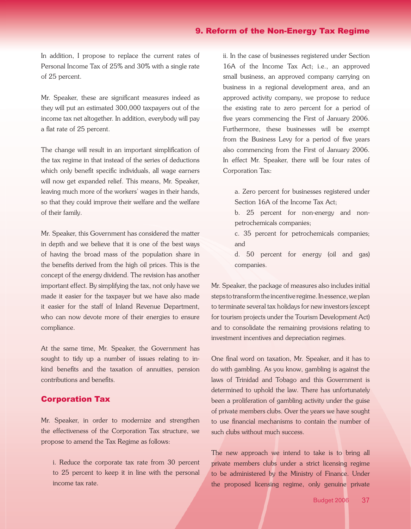In addition, I propose to replace the current rates of Personal Income Tax of 25% and 30% with a single rate of 25 percent.

Mr. Speaker, these are significant measures indeed as they will put an estimated 300,000 taxpayers out of the income tax net altogether. In addition, everybody will pay a flat rate of 25 percent.

The change will result in an important simplification of the tax regime in that instead of the series of deductions which only benefit specific individuals, all wage earners will now get expanded relief. This means, Mr. Speaker, leaving much more of the workers' wages in their hands, so that they could improve their welfare and the welfare of their family.

Mr. Speaker, this Government has considered the matter in depth and we believe that it is one of the best ways of having the broad mass of the population share in the benefits derived from the high oil prices. This is the concept of the energy dividend. The revision has another important effect. By simplifying the tax, not only have we made it easier for the taxpayer but we have also made it easier for the staff of Inland Revenue Department, who can now devote more of their energies to ensure compliance.

At the same time, Mr. Speaker, the Government has sought to tidy up a number of issues relating to inkind benefits and the taxation of annuities, pension contributions and benefits.

## Corporation Tax

Mr. Speaker, in order to modernize and strengthen the effectiveness of the Corporation Tax structure, we propose to amend the Tax Regime as follows:

i. Reduce the corporate tax rate from 30 percent to 25 percent to keep it in line with the personal income tax rate.

ii. In the case of businesses registered under Section 16A of the Income Tax Act; i.e., an approved small business, an approved company carrying on business in a regional development area, and an approved activity company, we propose to reduce the existing rate to zero percent for a period of five years commencing the First of January 2006. Furthermore, these businesses will be exempt from the Business Levy for a period of five years also commencing from the First of January 2006. In effect Mr. Speaker, there will be four rates of Corporation Tax:

- a. Zero percent for businesses registered under Section 16A of the Income Tax Act;
- b. 25 percent for non-energy and nonpetrochemicals companies;
- c. 35 percent for petrochemicals companies; and
- d. 50 percent for energy (oil and gas) companies.

Mr. Speaker, the package of measures also includes initial steps to transform the incentive regime. In essence, we plan to terminate several tax holidays for new investors (except for tourism projects under the Tourism Development Act) and to consolidate the remaining provisions relating to investment incentives and depreciation regimes.

One final word on taxation, Mr. Speaker, and it has to do with gambling. As you know, gambling is against the laws of Trinidad and Tobago and this Government is determined to uphold the law. There has unfortunately been a proliferation of gambling activity under the guise of private members clubs. Over the years we have sought to use financial mechanisms to contain the number of such clubs without much success.

The new approach we intend to take is to bring all private members clubs under a strict licensing regime to be administered by the Ministry of Finance. Under the proposed licensing regime, only genuine private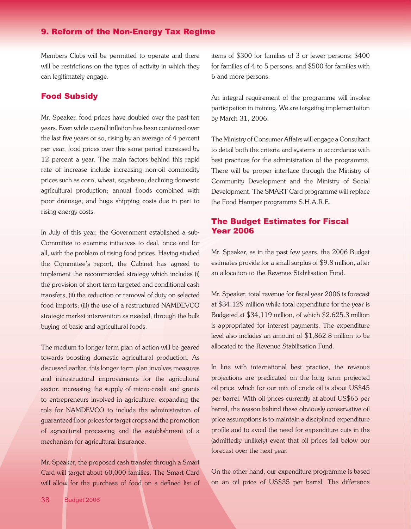Members Clubs will be permitted to operate and there will be restrictions on the types of activity in which they can legitimately engage.

## Food Subsidy

Mr. Speaker, food prices have doubled over the past ten years. Even while overall inflation has been contained over the last five years or so, rising by an average of 4 percent per year, food prices over this same period increased by 12 percent a year. The main factors behind this rapid rate of increase include increasing non-oil commodity prices such as corn, wheat, soyabean; declining domestic agricultural production; annual floods combined with poor drainage; and huge shipping costs due in part to rising energy costs.

In July of this year, the Government established a sub-Committee to examine initiatives to deal, once and for all, with the problem of rising food prices. Having studied the Committee's report, the Cabinet has agreed to implement the recommended strategy which includes (i) the provision of short term targeted and conditional cash transfers; (ii) the reduction or removal of duty on selected food imports; (iii) the use of a restructured NAMDEVCO strategic market intervention as needed, through the bulk buying of basic and agricultural foods.

The medium to longer term plan of action will be geared towards boosting domestic agricultural production. As discussed earlier, this longer term plan involves measures and infrastructural improvements for the agricultural sector; increasing the supply of micro-credit and grants to entrepreneurs involved in agriculture; expanding the role for NAMDEVCO to include the administration of guaranteed floor prices for target crops and the promotion of agricultural processing and the establishment of a mechanism for agricultural insurance.

Mr. Speaker, the proposed cash transfer through a Smart Card will target about 60,000 families. The Smart Card will allow for the purchase of food on a defined list of items of \$300 for families of 3 or fewer persons; \$400 for families of 4 to 5 persons; and \$500 for families with 6 and more persons.

An integral requirement of the programme will involve participation in training. We are targeting implementation by March 31, 2006.

The Ministry of Consumer Affairs will engage a Consultant to detail both the criteria and systems in accordance with best practices for the administration of the programme. There will be proper interface through the Ministry of Community Development and the Ministry of Social Development. The SMART Card programme will replace the Food Hamper programme S.H.A.R.E.

## The Budget Estimates for Fiscal Year 2006

Mr. Speaker, as in the past few years, the 2006 Budget estimates provide for a small surplus of \$9.8 million, after an allocation to the Revenue Stabilisation Fund.

Mr. Speaker, total revenue for fiscal year 2006 is forecast at \$34,129 million while total expenditure for the year is Budgeted at \$34,119 million, of which \$2,625.3 million is appropriated for interest payments. The expenditure level also includes an amount of \$1,862.8 million to be allocated to the Revenue Stabilisation Fund.

In line with international best practice, the revenue projections are predicated on the long term projected oil price, which for our mix of crude oil is about US\$45 per barrel. With oil prices currently at about US\$65 per barrel, the reason behind these obviously conservative oil price assumptions is to maintain a disciplined expenditure profile and to avoid the need for expenditure cuts in the (admittedly unlikely) event that oil prices fall below our forecast over the next year.

On the other hand, our expenditure programme is based on an oil price of US\$35 per barrel. The difference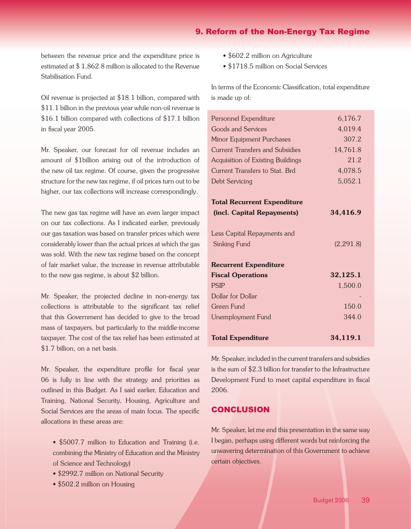between the revenue price and the expenditure price is estimated at \$ 1,862.8 million is allocated to the Revenue Stabilisation Fund.

Oil revenue is projected at \$18.1 billion, compared with \$11.1 billion in the previous year while non-oil revenue is \$16.1 billion compared with collections of \$17.1 billion in fiscal year 2005.

Mr. Speaker, our forecast for oil revenue includes an amount of \$1billion arising out of the introduction of the new oil tax regime. Of course, given the progressive structure for the new tax regime, if oil prices turn out to be higher, our tax collections will increase correspondingly.

The new gas tax regime will have an even larger impact on our tax collections. As I indicated earlier, previously our gas taxation was based on transfer prices which were considerably lower than the actual prices at which the gas was sold. With the new tax regime based on the concept of fair market value, the increase in revenue attributable to the new gas regime, is about \$2 billion.

Mr. Speaker, the projected decline in non-energy tax collections is attributable to the significant tax relief that this Government has decided to give to the broad mass of taxpayers, but particularly to the middle-income taxpayer. The cost of the tax relief has been estimated at \$1.7 billion, on a net basis.

Mr. Speaker, the expenditure profile for fiscal year 06 is fully in line with the strategy and priorities as outlined in this Budget. As I said earlier, Education and Training, National Security, Housing, Agriculture and Social Services are the areas of main focus. The specific allocations in these areas are:

• \$5007.7 million to Education and Training (i.e. combining the Ministry of Education and the Ministry of Science and Technology)

- \$2992.7 million on National Security
- \$502.2 million on Housing
- \$602.2 million on Agriculture
- \$1718.5 million on Social Services

In terms of the Economic Classification, total expenditure is made up of:

| Personnel Expenditure                  | 6,176.7    |  |  |
|----------------------------------------|------------|--|--|
| <b>Goods and Services</b>              | 4,019.4    |  |  |
| Minor Equipment Purchases              | 307.2      |  |  |
| <b>Current Transfers and Subsidies</b> | 14,761.8   |  |  |
| Acquisition of Existing Buildings      | 21.2       |  |  |
| Current Transfers to Stat. Brd         | 4,078.5    |  |  |
| <b>Debt Servicing</b>                  | 5,052.1    |  |  |
| <b>Total Recurrent Expenditure</b>     |            |  |  |
| (incl. Capital Repayments)             | 34,416.9   |  |  |
| Less Capital Repayments and            |            |  |  |
| <b>Sinking Fund</b>                    | (2, 291.8) |  |  |
| <b>Recurrent Expenditure</b>           |            |  |  |
| <b>Fiscal Operations</b>               | 32,125.1   |  |  |
| <b>PSIP</b>                            | 1,500.0    |  |  |
| Dollar for Dollar                      |            |  |  |
| Green Fund                             | 150.0      |  |  |
| <b>Unemployment Fund</b>               | 344.0      |  |  |
| <b>Total Expenditure</b>               | 34,119.1   |  |  |

Mr. Speaker, included in the current transfers and subsidies is the sum of \$2.3 billion for transfer to the Infrastructure Development Fund to meet capital expenditure in fiscal 2006.

## **CONCLUSION**

Mr. Speaker, let me end this presentation in the same way I began, perhaps using different words but reinforcing the unwavering determination of this Government to achieve certain objectives.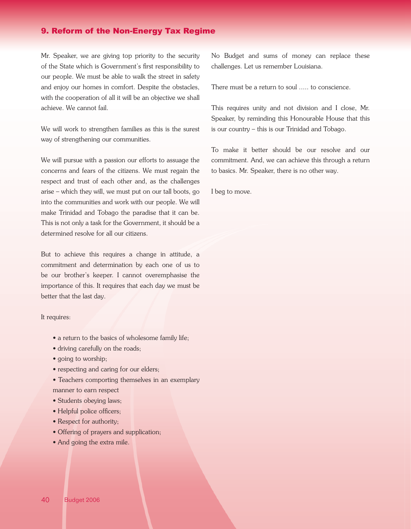Mr. Speaker, we are giving top priority to the security of the State which is Government's first responsibility to our people. We must be able to walk the street in safety and enjoy our homes in comfort. Despite the obstacles, with the cooperation of all it will be an objective we shall achieve. We cannot fail.

We will work to strengthen families as this is the surest way of strengthening our communities.

We will pursue with a passion our efforts to assuage the concerns and fears of the citizens. We must regain the respect and trust of each other and, as the challenges arise – which they will, we must put on our tall boots, go into the communities and work with our people. We will make Trinidad and Tobago the paradise that it can be. This is not only a task for the Government, it should be a determined resolve for all our citizens.

But to achieve this requires a change in attitude, a commitment and determination by each one of us to be our brother's keeper. I cannot overemphasise the importance of this. It requires that each day we must be better that the last day.

It requires:

- a return to the basics of wholesome family life;
- driving carefully on the roads;
- going to worship;
- respecting and caring for our elders;
- Teachers comporting themselves in an exemplary manner to earn respect
- Students obeying laws;
- Helpful police officers;
- Respect for authority;
- Offering of prayers and supplication;
- And going the extra mile.

No Budget and sums of money can replace these challenges. Let us remember Louisiana.

There must be a return to soul ..... to conscience.

This requires unity and not division and I close, Mr. Speaker, by reminding this Honourable House that this is our country – this is our Trinidad and Tobago.

To make it better should be our resolve and our commitment. And, we can achieve this through a return to basics. Mr. Speaker, there is no other way.

I beg to move.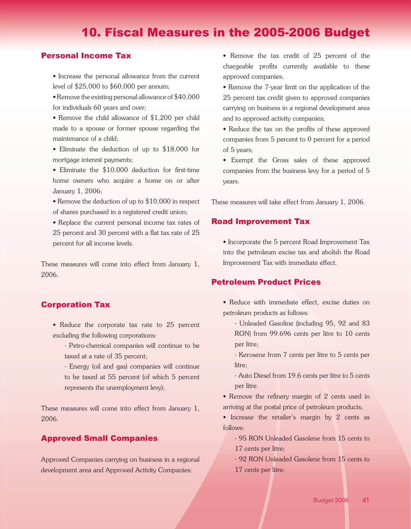## Personal Income Tax

• Increase the personal allowance from the current level of \$25,000 to \$60,000 per annum;

• Remove the existing personal allowance of \$40,000 for individuals 60 years and over;

• Remove the child allowance of \$1,200 per child made to a spouse or former spouse regarding the maintenance of a child;

• Eliminate the deduction of up to \$18,000 for mortgage interest payments;

• Eliminate the  $$10,000$  deduction for first-time home owners who acquire a home on or after January 1, 2006;

• Remove the deduction of up to \$10,000 in respect of shares purchased in a registered credit union;

• Replace the current personal income tax rates of 25 percent and 30 percent with a flat tax rate of 25 percent for all income levels.

These measures will come into effect from January 1, 2006.

## Corporation Tax

- Reduce the corporate tax rate to 25 percent excluding the following corporations:
	- Petro-chemical companies will continue to be taxed at a rate of 35 percent;

- Energy (oil and gas) companies will continue to be taxed at 55 percent (of which 5 percent represents the unemployment levy);

These measures will come into effect from January 1, 2006.

## Approved Small Companies

Approved Companies carrying on business in a regional development area and Approved Activity Companies:

- Remove the tax credit of 25 percent of the chargeable profits currently available to these approved companies;
- Remove the 7-year limit on the application of the 25 percent tax credit given to approved companies carrying on business in a regional development area and to approved activity companies;
- Reduce the tax on the profits of these approved companies from 5 percent to 0 percent for a period of 5 years;
- Exempt the Gross sales of these approved companies from the business levy for a period of 5 years.

These measures will take effect from January 1, 2006.

#### Road Improvement Tax

• Incorporate the 5 percent Road Improvement Tax into the petroleum excise tax and abolish the Road Improvement Tax with immediate effect.

#### Petroleum Product Prices

- Reduce with immediate effect, excise duties on petroleum products as follows:
	- Unleaded Gasoline (including 95, 92 and 83 RON) from 99.696 cents per litre to 10 cents per litre;
	- Kerosene from 7 cents per litre to 5 cents per litre;
	- Auto Diesel from 19.6 cents per litre to 5 cents per litre.
- Remove the refinery margin of 2 cents used in arriving at the postal price of petroleum products;
- Increase the retailer's margin by 2 cents as follows:
	- 95 RON Unleaded Gasolene from 15 cents to 17 cents per litre;
	- 92 RON Unleaded Gasolene from 15 cents to 17 cents per litre;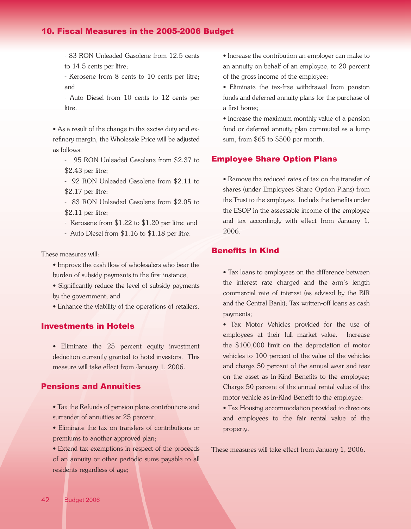- 83 RON Unleaded Gasolene from 12.5 cents to 14.5 cents per litre;

- Kerosene from 8 cents to 10 cents per litre; and

- Auto Diesel from 10 cents to 12 cents per litre.

• As a result of the change in the excise duty and exrefinery margin, the Wholesale Price will be adjusted as follows:

- 95 RON Unleaded Gasolene from \$2.37 to \$2.43 per litre;

- 92 RON Unleaded Gasolene from \$2.11 to \$2.17 per litre;

- 83 RON Unleaded Gasolene from \$2.05 to \$2.11 per litre;

- Kerosene from \$1.22 to \$1.20 per litre; and

- Auto Diesel from \$1.16 to \$1.18 per litre.

These measures will:

• Improve the cash flow of wholesalers who bear the burden of subsidy payments in the first instance;

• Significantly reduce the level of subsidy payments by the government; and

• Enhance the viability of the operations of retailers.

## Investments in Hotels

• Eliminate the 25 percent equity investment deduction currently granted to hotel investors. This measure will take effect from January 1, 2006.

#### Pensions and Annuities

- Tax the Refunds of pension plans contributions and surrender of annuities at 25 percent;
- Eliminate the tax on transfers of contributions or premiums to another approved plan;
- Extend tax exemptions in respect of the proceeds of an annuity or other periodic sums payable to all residents regardless of age;

• Increase the contribution an employer can make to an annuity on behalf of an employee, to 20 percent of the gross income of the employee;

• Eliminate the tax-free withdrawal from pension funds and deferred annuity plans for the purchase of a first home:

• Increase the maximum monthly value of a pension fund or deferred annuity plan commuted as a lump sum, from \$65 to \$500 per month.

#### Employee Share Option Plans

• Remove the reduced rates of tax on the transfer of shares (under Employees Share Option Plans) from the Trust to the employee. Include the benefits under the ESOP in the assessable income of the employee and tax accordingly with effect from January 1, 2006.

## **Benefits in Kind**

• Tax loans to employees on the difference between the interest rate charged and the arm's length commercial rate of interest (as advised by the BIR and the Central Bank); Tax written-off loans as cash payments;

• Tax Motor Vehicles provided for the use of employees at their full market value. Increase the \$100,000 limit on the depreciation of motor vehicles to 100 percent of the value of the vehicles and charge 50 percent of the annual wear and tear on the asset as In-Kind Benefits to the employee; Charge 50 percent of the annual rental value of the motor vehicle as In-Kind Benefit to the employee;

• Tax Housing accommodation provided to directors and employees to the fair rental value of the property.

These measures will take effect from January 1, 2006.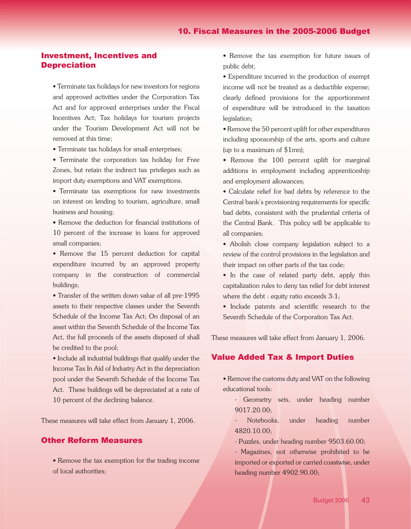## Investment, Incentives and **Depreciation**

- Terminate tax holidays for new investors for regions and approved activities under the Corporation Tax Act and for approved enterprises under the Fiscal Incentives Act; Tax holidays for tourism projects under the Tourism Development Act will not be removed at this time;
- Terminate tax holidays for small enterprises;
- Terminate the corporation tax holiday for Free Zones, but retain the indirect tax privileges such as import duty exemptions and VAT exemptions.
- Terminate tax exemptions for new investments on interest on lending to tourism, agriculture, small business and housing;
- Remove the deduction for financial institutions of 10 percent of the increase in loans for approved small companies;
- Remove the 15 percent deduction for capital expenditure incurred by an approved property company in the construction of commercial buildings;
- Transfer of the written down value of all pre-1995 assets to their respective classes under the Seventh Schedule of the Income Tax Act; On disposal of an asset within the Seventh Schedule of the Income Tax Act, the full proceeds of the assets disposed of shall be credited to the pool;
- Include all industrial buildings that qualify under the Income Tax In Aid of Industry Act in the depreciation pool under the Seventh Schedule of the Income Tax Act. These buildings will be depreciated at a rate of 10 percent of the declining balance.

These measures will take effect from January 1, 2006.

## Other Reform Measures

• Remove the tax exemption for the trading income of local authorities;

• Remove the tax exemption for future issues of public debt;

- Expenditure incurred in the production of exempt income will not be treated as a deductible expense; clearly defined provisions for the apportionment of expenditure will be introduced in the taxation legislation;
- Remove the 50 percent uplift for other expenditures including sponsorship of the arts, sports and culture (up to a maximum of \$1mn);
- Remove the 100 percent uplift for marginal additions in employment including apprenticeship and employment allowances;
- Calculate relief for bad debts by reference to the Central bank's provisioning requirements for specific bad debts, consistent with the prudential criteria of the Central Bank. This policy will be applicable to all companies;
- Abolish close company legislation subject to a review of the control provisions in the legislation and their impact on other parts of the tax code;
- In the case of related party debt, apply thin capitalization rules to deny tax relief for debt interest where the debt : equity ratio exceeds 3:1;
- Include patents and scientific research to the Seventh Schedule of the Corporation Tax Act.

These measures will take effect from January 1, 2006.

## Value Added Tax & Import Duties

- Remove the customs duty and VAT on the following educational tools:
	- Geometry sets, under heading number 9017.20.00;
	- Notebooks, under heading number 4820.10.00;
	- Puzzles, under heading number 9503.60.00;
	- Magazines, not otherwise prohibited to be imported or exported or carried coastwise, under heading number 4902.90.00;